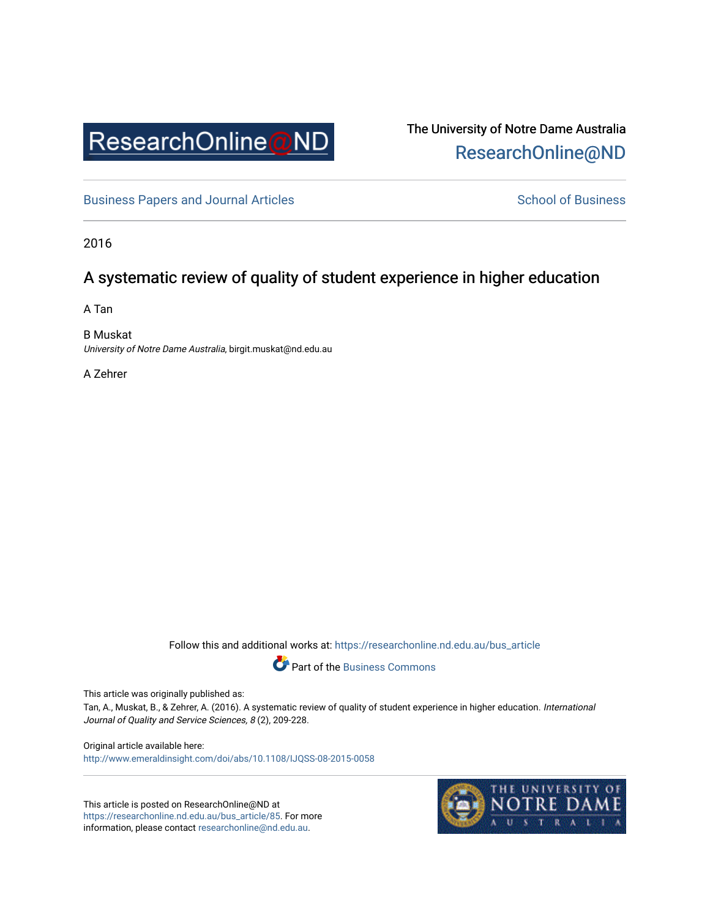

The University of Notre Dame Australia [ResearchOnline@ND](https://researchonline.nd.edu.au/) 

[Business Papers and Journal Articles](https://researchonline.nd.edu.au/bus_article) **School of Business** School of Business

2016

# A systematic review of quality of student experience in higher education

A Tan

B Muskat University of Notre Dame Australia, birgit.muskat@nd.edu.au

A Zehrer

Follow this and additional works at: [https://researchonline.nd.edu.au/bus\\_article](https://researchonline.nd.edu.au/bus_article?utm_source=researchonline.nd.edu.au%2Fbus_article%2F85&utm_medium=PDF&utm_campaign=PDFCoverPages)



This article was originally published as:

Tan, A., Muskat, B., & Zehrer, A. (2016). A systematic review of quality of student experience in higher education. International Journal of Quality and Service Sciences, 8 (2), 209-228.

Original article available here: <http://www.emeraldinsight.com/doi/abs/10.1108/IJQSS-08-2015-0058>

This article is posted on ResearchOnline@ND at [https://researchonline.nd.edu.au/bus\\_article/85.](https://researchonline.nd.edu.au/bus_article/85) For more information, please contact [researchonline@nd.edu.au.](mailto:researchonline@nd.edu.au)

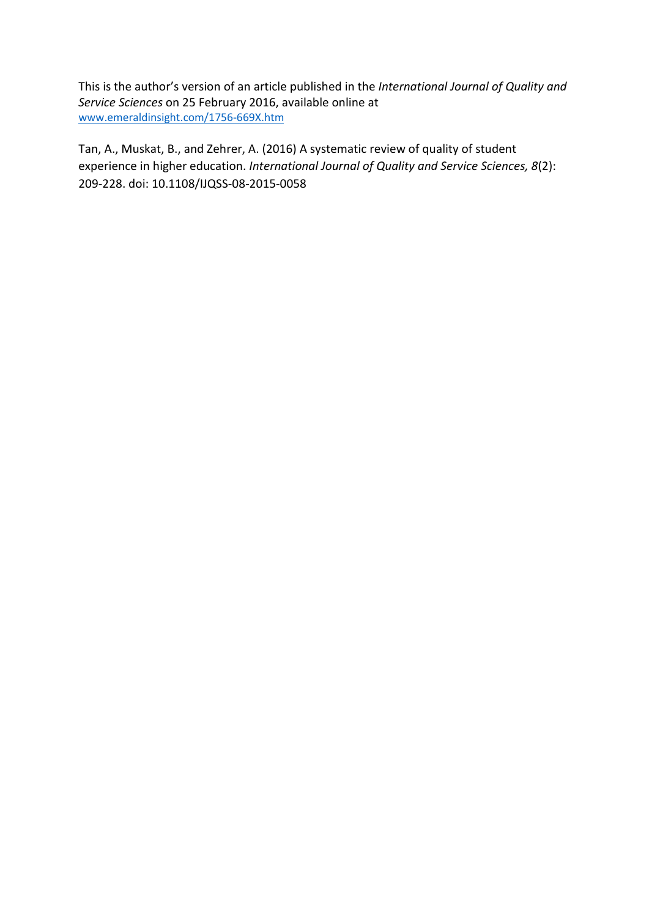This is the author's version of an article published in the *International Journal of Quality and Service Sciences* on 25 February 2016, available online at [www.emeraldinsight.com/1756-669X.htm](http://www.emeraldinsight.com/1756-669X.htm)

Tan, A., Muskat, B., and Zehrer, A. (2016) A systematic review of quality of student experience in higher education. *International Journal of Quality and Service Sciences, 8*(2): 209-228. doi: 10.1108/IJQSS-08-2015-0058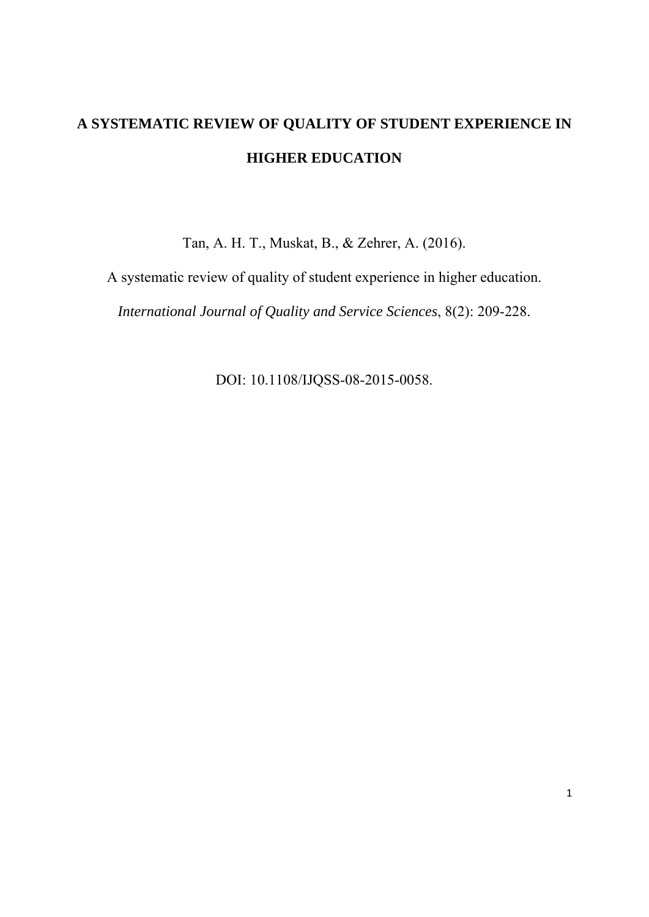# **A SYSTEMATIC REVIEW OF QUALITY OF STUDENT EXPERIENCE IN HIGHER EDUCATION**

Tan, A. H. T., Muskat, B., & Zehrer, A. (2016).

A systematic review of quality of student experience in higher education.

*International Journal of Quality and Service Sciences*, 8(2): 209-228.

DOI: 10.1108/IJQSS-08-2015-0058.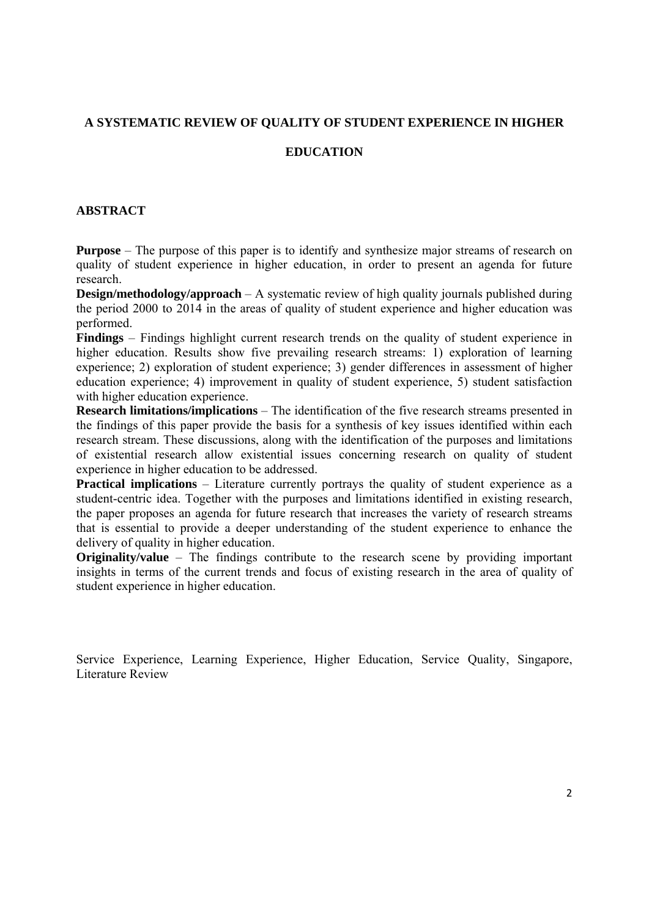## **A SYSTEMATIC REVIEW OF QUALITY OF STUDENT EXPERIENCE IN HIGHER**

## **EDUCATION**

#### **ABSTRACT**

**Purpose** – The purpose of this paper is to identify and synthesize major streams of research on quality of student experience in higher education, in order to present an agenda for future research.

**Design/methodology/approach** – A systematic review of high quality journals published during the period 2000 to 2014 in the areas of quality of student experience and higher education was performed.

**Findings** – Findings highlight current research trends on the quality of student experience in higher education. Results show five prevailing research streams: 1) exploration of learning experience; 2) exploration of student experience; 3) gender differences in assessment of higher education experience; 4) improvement in quality of student experience, 5) student satisfaction with higher education experience.

**Research limitations/implications** – The identification of the five research streams presented in the findings of this paper provide the basis for a synthesis of key issues identified within each research stream. These discussions, along with the identification of the purposes and limitations of existential research allow existential issues concerning research on quality of student experience in higher education to be addressed.

**Practical implications** – Literature currently portrays the quality of student experience as a student-centric idea. Together with the purposes and limitations identified in existing research, the paper proposes an agenda for future research that increases the variety of research streams that is essential to provide a deeper understanding of the student experience to enhance the delivery of quality in higher education.

**Originality/value** – The findings contribute to the research scene by providing important insights in terms of the current trends and focus of existing research in the area of quality of student experience in higher education.

Service Experience, Learning Experience, Higher Education, Service Quality, Singapore, Literature Review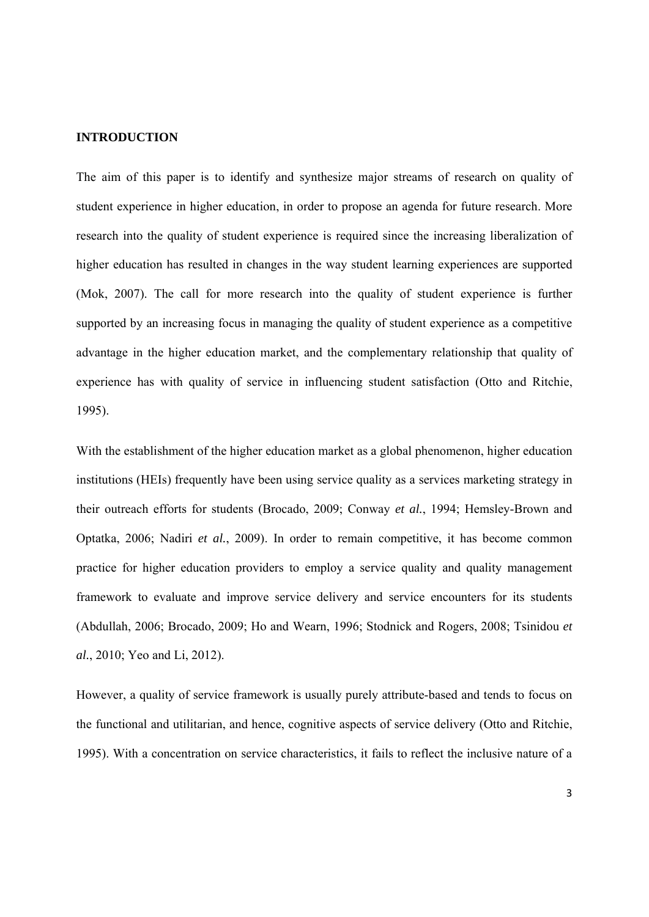#### **INTRODUCTION**

The aim of this paper is to identify and synthesize major streams of research on quality of student experience in higher education, in order to propose an agenda for future research. More research into the quality of student experience is required since the increasing liberalization of higher education has resulted in changes in the way student learning experiences are supported (Mok, 2007). The call for more research into the quality of student experience is further supported by an increasing focus in managing the quality of student experience as a competitive advantage in the higher education market, and the complementary relationship that quality of experience has with quality of service in influencing student satisfaction (Otto and Ritchie, 1995).

With the establishment of the higher education market as a global phenomenon, higher education institutions (HEIs) frequently have been using service quality as a services marketing strategy in their outreach efforts for students (Brocado, 2009; Conway *et al.*, 1994; Hemsley-Brown and Optatka, 2006; Nadiri *et al.*, 2009). In order to remain competitive, it has become common practice for higher education providers to employ a service quality and quality management framework to evaluate and improve service delivery and service encounters for its students (Abdullah, 2006; Brocado, 2009; Ho and Wearn, 1996; Stodnick and Rogers, 2008; Tsinidou *et al.*, 2010; Yeo and Li, 2012).

However, a quality of service framework is usually purely attribute-based and tends to focus on the functional and utilitarian, and hence, cognitive aspects of service delivery (Otto and Ritchie, 1995). With a concentration on service characteristics, it fails to reflect the inclusive nature of a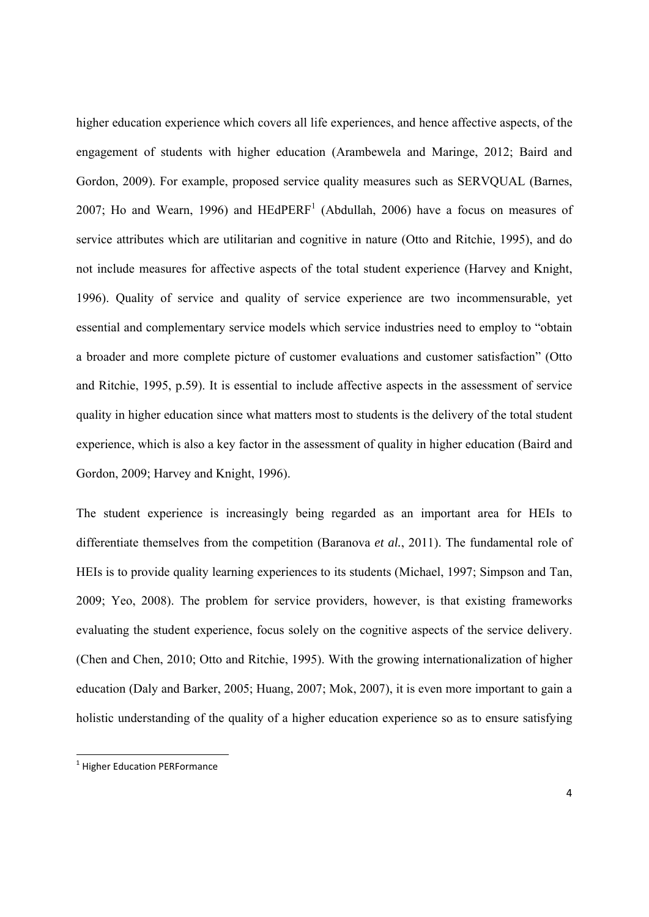higher education experience which covers all life experiences, and hence affective aspects, of the engagement of students with higher education (Arambewela and Maringe, 2012; Baird and Gordon, 2009). For example, proposed service quality measures such as SERVQUAL (Barnes, 2007; Ho and Wearn, 1996) and  $HEdPERF<sup>1</sup>$  (Abdullah, 2006) have a focus on measures of service attributes which are utilitarian and cognitive in nature (Otto and Ritchie, 1995), and do not include measures for affective aspects of the total student experience (Harvey and Knight, 1996). Quality of service and quality of service experience are two incommensurable, yet essential and complementary service models which service industries need to employ to "obtain a broader and more complete picture of customer evaluations and customer satisfaction" (Otto and Ritchie, 1995, p.59). It is essential to include affective aspects in the assessment of service quality in higher education since what matters most to students is the delivery of the total student experience, which is also a key factor in the assessment of quality in higher education (Baird and Gordon, 2009; Harvey and Knight, 1996).

The student experience is increasingly being regarded as an important area for HEIs to differentiate themselves from the competition (Baranova *et al.*, 2011). The fundamental role of HEIs is to provide quality learning experiences to its students (Michael, 1997; Simpson and Tan, 2009; Yeo, 2008). The problem for service providers, however, is that existing frameworks evaluating the student experience, focus solely on the cognitive aspects of the service delivery. (Chen and Chen, 2010; Otto and Ritchie, 1995). With the growing internationalization of higher education (Daly and Barker, 2005; Huang, 2007; Mok, 2007), it is even more important to gain a holistic understanding of the quality of a higher education experience so as to ensure satisfying

 <sup>1</sup> Higher Education PERFormance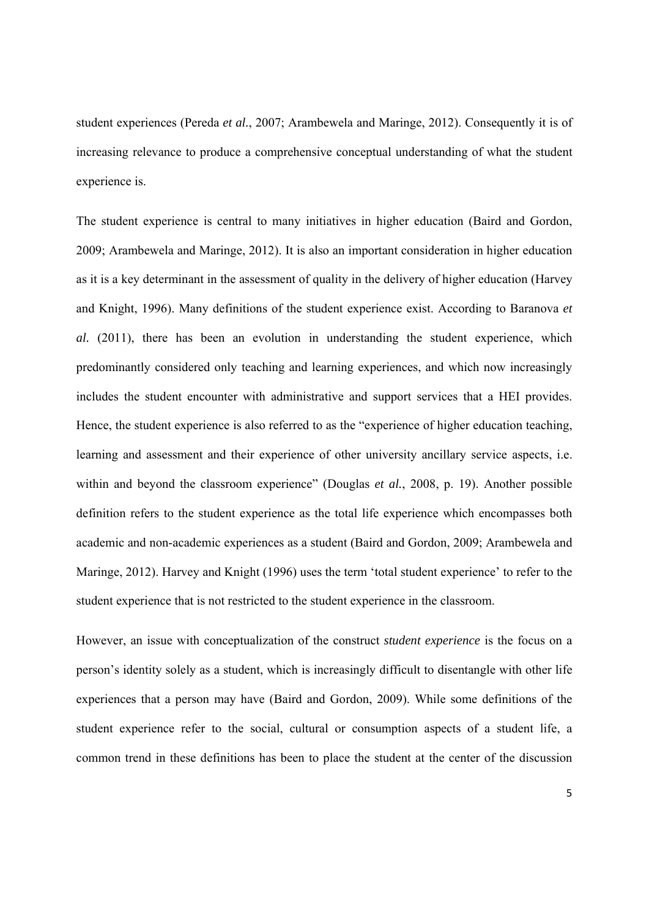student experiences (Pereda *et al.*, 2007; Arambewela and Maringe, 2012). Consequently it is of increasing relevance to produce a comprehensive conceptual understanding of what the student experience is.

The student experience is central to many initiatives in higher education (Baird and Gordon, 2009; Arambewela and Maringe, 2012). It is also an important consideration in higher education as it is a key determinant in the assessment of quality in the delivery of higher education (Harvey and Knight, 1996). Many definitions of the student experience exist. According to Baranova *et al.* (2011), there has been an evolution in understanding the student experience, which predominantly considered only teaching and learning experiences, and which now increasingly includes the student encounter with administrative and support services that a HEI provides. Hence, the student experience is also referred to as the "experience of higher education teaching, learning and assessment and their experience of other university ancillary service aspects, i.e. within and beyond the classroom experience" (Douglas *et al.*, 2008, p. 19). Another possible definition refers to the student experience as the total life experience which encompasses both academic and non-academic experiences as a student (Baird and Gordon, 2009; Arambewela and Maringe, 2012). Harvey and Knight (1996) uses the term 'total student experience' to refer to the student experience that is not restricted to the student experience in the classroom.

However, an issue with conceptualization of the construct *student experience* is the focus on a person's identity solely as a student, which is increasingly difficult to disentangle with other life experiences that a person may have (Baird and Gordon, 2009). While some definitions of the student experience refer to the social, cultural or consumption aspects of a student life, a common trend in these definitions has been to place the student at the center of the discussion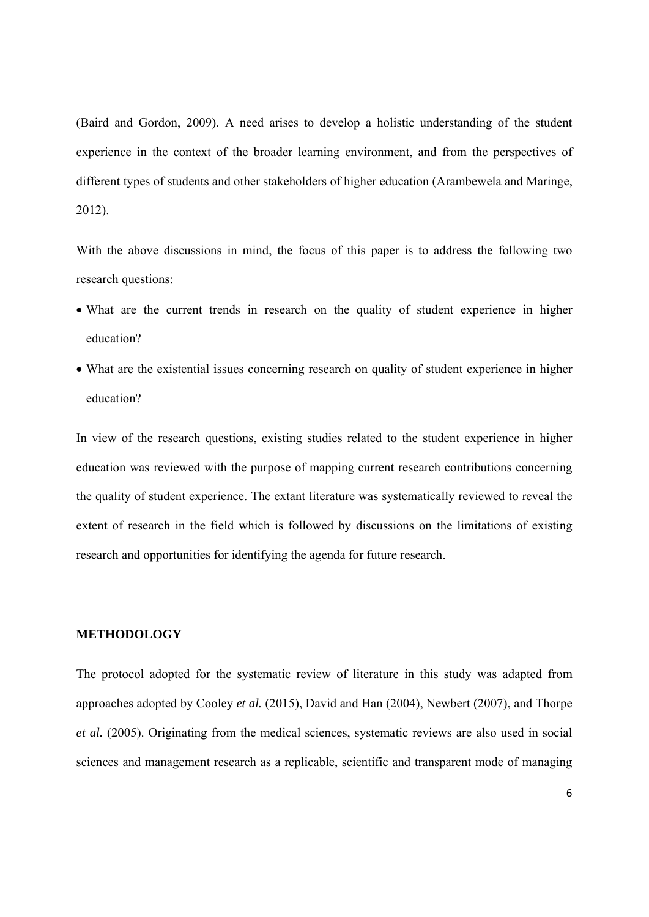(Baird and Gordon, 2009). A need arises to develop a holistic understanding of the student experience in the context of the broader learning environment, and from the perspectives of different types of students and other stakeholders of higher education (Arambewela and Maringe, 2012).

With the above discussions in mind, the focus of this paper is to address the following two research questions:

- What are the current trends in research on the quality of student experience in higher education?
- What are the existential issues concerning research on quality of student experience in higher education?

In view of the research questions, existing studies related to the student experience in higher education was reviewed with the purpose of mapping current research contributions concerning the quality of student experience. The extant literature was systematically reviewed to reveal the extent of research in the field which is followed by discussions on the limitations of existing research and opportunities for identifying the agenda for future research.

#### **METHODOLOGY**

The protocol adopted for the systematic review of literature in this study was adapted from approaches adopted by Cooley *et al.* (2015), David and Han (2004), Newbert (2007), and Thorpe *et al.* (2005). Originating from the medical sciences, systematic reviews are also used in social sciences and management research as a replicable, scientific and transparent mode of managing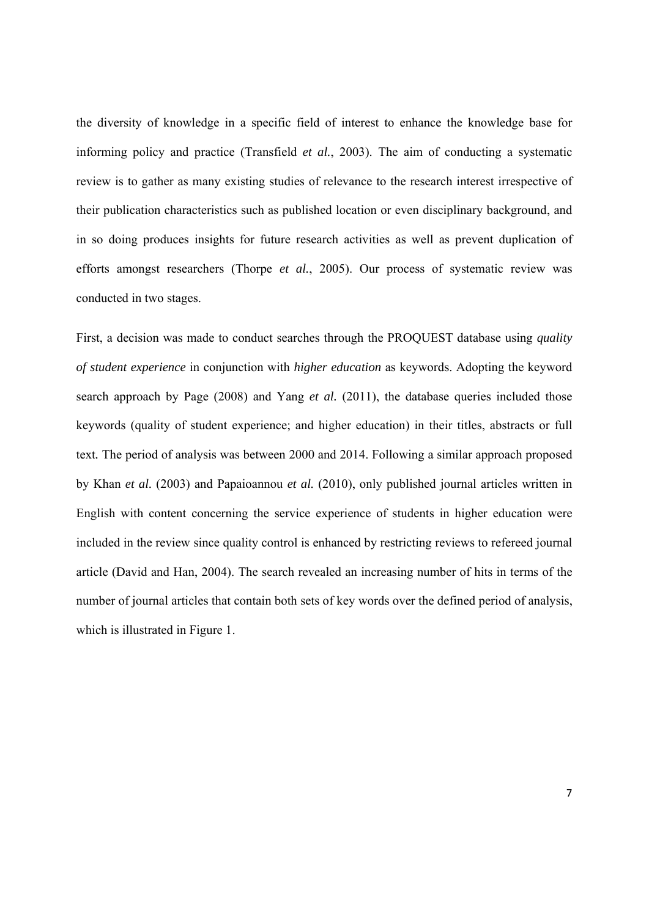the diversity of knowledge in a specific field of interest to enhance the knowledge base for informing policy and practice (Transfield *et al.*, 2003). The aim of conducting a systematic review is to gather as many existing studies of relevance to the research interest irrespective of their publication characteristics such as published location or even disciplinary background, and in so doing produces insights for future research activities as well as prevent duplication of efforts amongst researchers (Thorpe *et al.*, 2005). Our process of systematic review was conducted in two stages.

First, a decision was made to conduct searches through the PROQUEST database using *quality of student experience* in conjunction with *higher education* as keywords. Adopting the keyword search approach by Page (2008) and Yang *et al.* (2011), the database queries included those keywords (quality of student experience; and higher education) in their titles, abstracts or full text*.* The period of analysis was between 2000 and 2014. Following a similar approach proposed by Khan *et al.* (2003) and Papaioannou *et al.* (2010), only published journal articles written in English with content concerning the service experience of students in higher education were included in the review since quality control is enhanced by restricting reviews to refereed journal article (David and Han, 2004). The search revealed an increasing number of hits in terms of the number of journal articles that contain both sets of key words over the defined period of analysis, which is illustrated in Figure 1.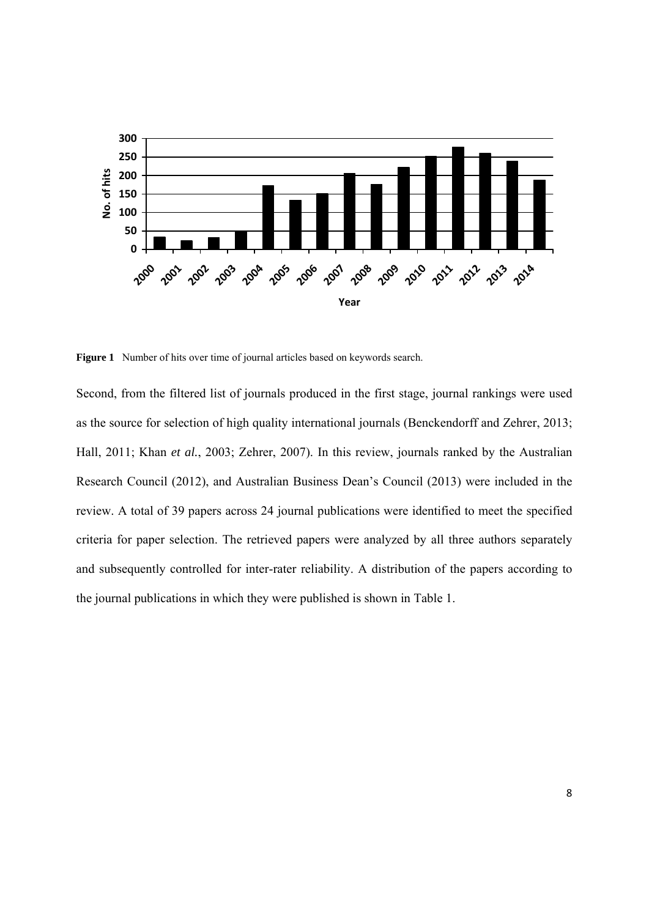

**Figure 1** Number of hits over time of journal articles based on keywords search.

Second, from the filtered list of journals produced in the first stage, journal rankings were used as the source for selection of high quality international journals (Benckendorff and Zehrer, 2013; Hall, 2011; Khan *et al.*, 2003; Zehrer, 2007). In this review, journals ranked by the Australian Research Council (2012), and Australian Business Dean's Council (2013) were included in the review. A total of 39 papers across 24 journal publications were identified to meet the specified criteria for paper selection. The retrieved papers were analyzed by all three authors separately and subsequently controlled for inter-rater reliability. A distribution of the papers according to the journal publications in which they were published is shown in Table 1.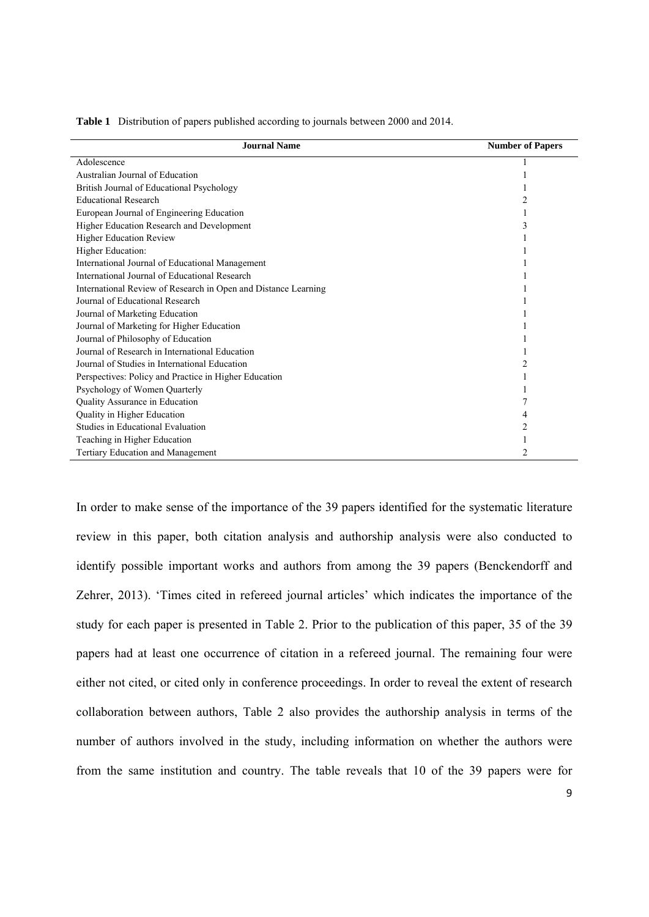| <b>Journal Name</b>                                            | <b>Number of Papers</b> |
|----------------------------------------------------------------|-------------------------|
| Adolescence                                                    |                         |
| Australian Journal of Education                                |                         |
| British Journal of Educational Psychology                      |                         |
| <b>Educational Research</b>                                    |                         |
| European Journal of Engineering Education                      |                         |
| Higher Education Research and Development                      |                         |
| <b>Higher Education Review</b>                                 |                         |
| Higher Education:                                              |                         |
| International Journal of Educational Management                |                         |
| International Journal of Educational Research                  |                         |
| International Review of Research in Open and Distance Learning |                         |
| Journal of Educational Research                                |                         |
| Journal of Marketing Education                                 |                         |
| Journal of Marketing for Higher Education                      |                         |
| Journal of Philosophy of Education                             |                         |
| Journal of Research in International Education                 |                         |
| Journal of Studies in International Education                  |                         |
| Perspectives: Policy and Practice in Higher Education          |                         |
| Psychology of Women Quarterly                                  |                         |
| Quality Assurance in Education                                 |                         |
| Quality in Higher Education                                    |                         |
| Studies in Educational Evaluation                              |                         |
| Teaching in Higher Education                                   |                         |
| <b>Tertiary Education and Management</b>                       |                         |

**Table 1** Distribution of papers published according to journals between 2000 and 2014.

In order to make sense of the importance of the 39 papers identified for the systematic literature review in this paper, both citation analysis and authorship analysis were also conducted to identify possible important works and authors from among the 39 papers (Benckendorff and Zehrer, 2013). 'Times cited in refereed journal articles' which indicates the importance of the study for each paper is presented in Table 2. Prior to the publication of this paper, 35 of the 39 papers had at least one occurrence of citation in a refereed journal. The remaining four were either not cited, or cited only in conference proceedings. In order to reveal the extent of research collaboration between authors, Table 2 also provides the authorship analysis in terms of the number of authors involved in the study, including information on whether the authors were from the same institution and country. The table reveals that 10 of the 39 papers were for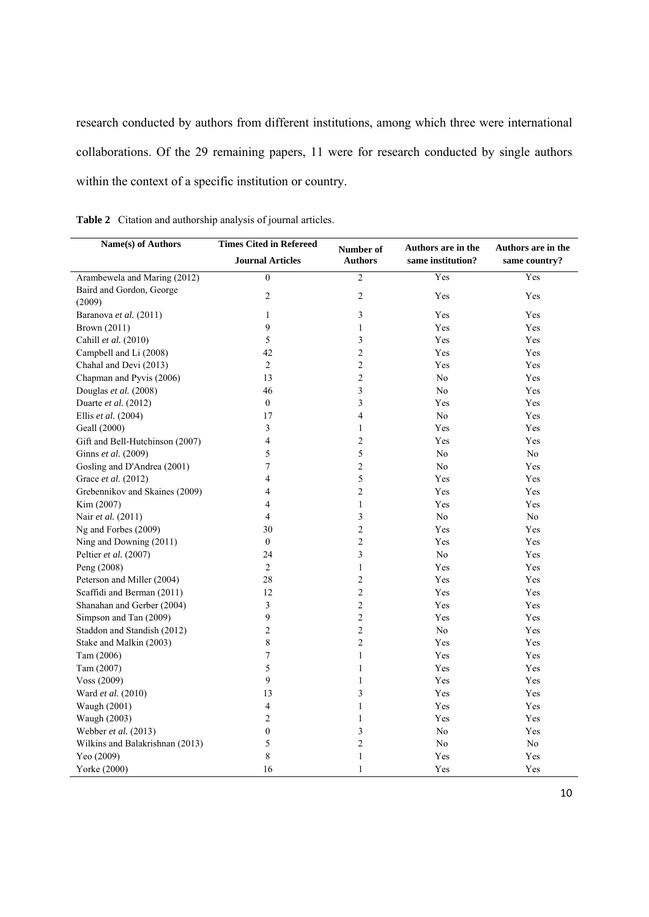research conducted by authors from different institutions, among which three were international collaborations. Of the 29 remaining papers, 11 were for research conducted by single authors within the context of a specific institution or country.

| Name(s) of Authors              | <b>Times Cited in Refereed</b> |                             | Authors are in the | Authors are in the |  |  |
|---------------------------------|--------------------------------|-----------------------------|--------------------|--------------------|--|--|
|                                 | <b>Journal Articles</b>        | Number of<br><b>Authors</b> | same institution?  | same country?      |  |  |
| Arambewela and Maring (2012)    | $\overline{0}$                 | $\overline{2}$              | Yes                | Yes                |  |  |
| Baird and Gordon, George        | 2                              | 2                           | Yes                | Yes                |  |  |
| (2009)                          |                                |                             |                    |                    |  |  |
| Baranova et al. (2011)          | 1                              | 3                           | Yes                | Yes                |  |  |
| Brown (2011)                    | 9                              | $\mathbf{1}$                | Yes                | Yes                |  |  |
| Cahill et al. (2010)            | 5                              | 3                           | Yes                | Yes                |  |  |
| Campbell and Li (2008)          | 42                             | $\overline{c}$              | Yes                | Yes                |  |  |
| Chahal and Devi (2013)          | $\overline{2}$                 | $\overline{c}$              | Yes                | Yes                |  |  |
| Chapman and Pyvis (2006)        | 13                             | 2                           | No                 | Yes                |  |  |
| Douglas et al. (2008)           | 46                             | 3                           | N <sub>0</sub>     | Yes                |  |  |
| Duarte et al. $(2012)$          | $\boldsymbol{0}$               | 3                           | Yes                | Yes                |  |  |
| Ellis et al. (2004)             | 17                             | 4                           | N <sub>0</sub>     | Yes                |  |  |
| Geall (2000)                    | 3                              | $\mathbf{1}$                | Yes                | Yes                |  |  |
| Gift and Bell-Hutchinson (2007) | $\overline{\mathcal{L}}$       | $\overline{c}$              | Yes                | Yes                |  |  |
| Ginns et al. (2009)             | 5                              | 5                           | N <sub>0</sub>     | N <sub>0</sub>     |  |  |
| Gosling and D'Andrea (2001)     | 7                              | $\overline{c}$              | No                 | Yes                |  |  |
| Grace et al. (2012)             | 4                              | 5                           | Yes                | Yes                |  |  |
| Grebennikov and Skaines (2009)  | 4                              | $\overline{c}$              | Yes                | Yes                |  |  |
| Kim (2007)                      | 4                              | $\mathbf{1}$                | Yes                | Yes                |  |  |
| Nair et al. (2011)              | 4                              | 3                           | N <sub>0</sub>     | N <sub>0</sub>     |  |  |
| Ng and Forbes (2009)            | 30                             | 2                           | Yes                | Yes                |  |  |
| Ning and Downing (2011)         | $\boldsymbol{0}$               | $\overline{c}$              | Yes                | Yes                |  |  |
| Peltier et al. (2007)           | 24                             | 3                           | No                 | Yes                |  |  |
| Peng (2008)                     | $\overline{2}$                 | 1                           | Yes                | Yes                |  |  |
| Peterson and Miller (2004)      | 28                             | 2                           | Yes                | Yes                |  |  |
| Scaffidi and Berman (2011)      | 12                             | $\overline{c}$              | Yes                | Yes                |  |  |
| Shanahan and Gerber (2004)      | 3                              | $\overline{c}$              | Yes                | Yes                |  |  |
| Simpson and Tan (2009)          | 9                              | $\overline{c}$              | Yes                | Yes                |  |  |
| Staddon and Standish (2012)     | 2                              | 2                           | No                 | Yes                |  |  |
| Stake and Malkin (2003)         | 8                              | $\overline{c}$              | Yes                | Yes                |  |  |
| Tam (2006)                      | $\overline{7}$                 | $\mathbf{1}$                | Yes                | Yes                |  |  |
| Tam (2007)                      | 5                              | $\mathbf{1}$                | Yes                | Yes                |  |  |
| Voss (2009)                     | 9                              | $\mathbf{1}$                | Yes                | Yes                |  |  |
| Ward et al. (2010)              | 13                             | 3                           | Yes                | Yes                |  |  |
| Waugh (2001)                    | $\overline{4}$                 | $\mathbf{1}$                | Yes                | Yes                |  |  |
| Waugh (2003)                    | 2                              | $\mathbf{1}$                | Yes                | Yes                |  |  |
| Webber et al. (2013)            | $\boldsymbol{0}$               | 3                           | No                 | Yes                |  |  |
| Wilkins and Balakrishnan (2013) | 5                              | $\overline{c}$              | $\rm No$           | $\rm No$           |  |  |
| Yeo (2009)                      | 8                              | $\mathbf{1}$                | Yes                | Yes                |  |  |
| Yorke (2000)                    | 16                             | $\mathbf{1}$                | Yes                | Yes                |  |  |
|                                 |                                |                             |                    |                    |  |  |

**Table 2** Citation and authorship analysis of journal articles.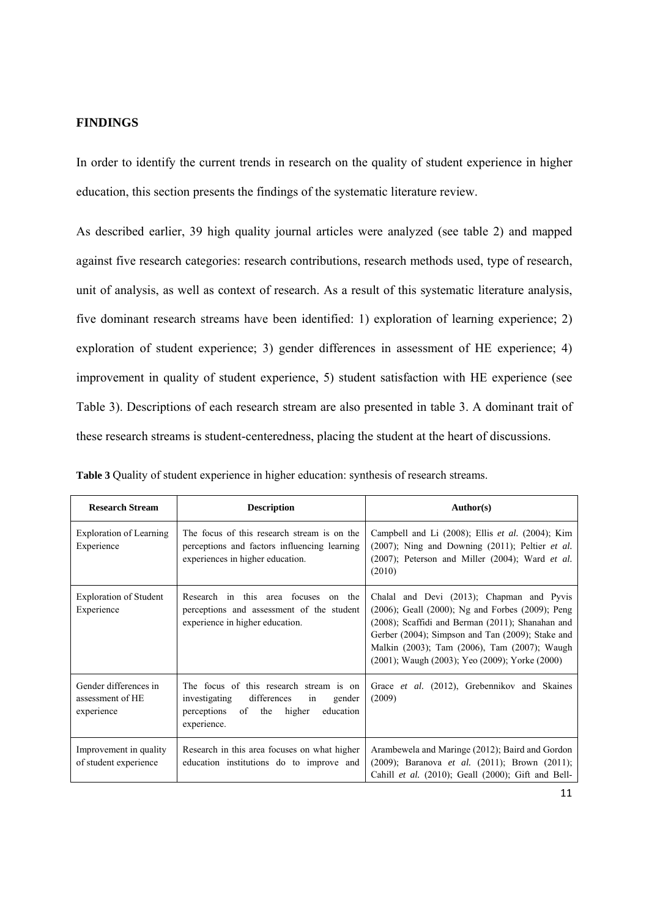#### **FINDINGS**

In order to identify the current trends in research on the quality of student experience in higher education, this section presents the findings of the systematic literature review.

As described earlier, 39 high quality journal articles were analyzed (see table 2) and mapped against five research categories: research contributions, research methods used, type of research, unit of analysis, as well as context of research. As a result of this systematic literature analysis, five dominant research streams have been identified: 1) exploration of learning experience; 2) exploration of student experience; 3) gender differences in assessment of HE experience; 4) improvement in quality of student experience, 5) student satisfaction with HE experience (see Table 3). Descriptions of each research stream are also presented in table 3. A dominant trait of these research streams is student-centeredness, placing the student at the heart of discussions.

| <b>Research Stream</b>                                  | <b>Description</b>                                                                                                                                     | Author(s)                                                                                                                                                                                                                                                                                               |
|---------------------------------------------------------|--------------------------------------------------------------------------------------------------------------------------------------------------------|---------------------------------------------------------------------------------------------------------------------------------------------------------------------------------------------------------------------------------------------------------------------------------------------------------|
| Exploration of Learning<br>Experience                   | The focus of this research stream is on the<br>perceptions and factors influencing learning<br>experiences in higher education.                        | Campbell and Li $(2008)$ ; Ellis <i>et al.</i> $(2004)$ ; Kim<br>$(2007)$ ; Ning and Downing $(2011)$ ; Peltier <i>et al.</i><br>$(2007)$ ; Peterson and Miller $(2004)$ ; Ward <i>et al.</i><br>(2010)                                                                                                 |
| <b>Exploration of Student</b><br>Experience             | Research in this area focuses<br>on the<br>perceptions and assessment of the student<br>experience in higher education.                                | Chalal and Devi (2013); Chapman and Pyvis<br>(2006); Geall (2000); Ng and Forbes (2009); Peng<br>(2008); Scaffidi and Berman (2011); Shanahan and<br>Gerber (2004); Simpson and Tan (2009); Stake and<br>Malkin (2003); Tam (2006), Tam (2007); Waugh<br>(2001); Waugh (2003); Yeo (2009); Yorke (2000) |
| Gender differences in<br>assessment of HE<br>experience | The focus of this research stream is on<br>differences<br>investigating<br>gender<br>in<br>of the<br>higher<br>education<br>perceptions<br>experience. | Grace et al. (2012), Grebennikov and Skaines<br>(2009)                                                                                                                                                                                                                                                  |
| Improvement in quality<br>of student experience         | Research in this area focuses on what higher<br>education institutions do to improve and                                                               | Arambewela and Maringe (2012); Baird and Gordon<br>$(2009)$ ; Baranova <i>et al.</i> $(2011)$ ; Brown $(2011)$ ;<br>Cahill et al. (2010); Geall (2000); Gift and Bell-                                                                                                                                  |

|  |  |  |  |  |  |  | Table 3 Quality of student experience in higher education: synthesis of research streams. |  |
|--|--|--|--|--|--|--|-------------------------------------------------------------------------------------------|--|
|--|--|--|--|--|--|--|-------------------------------------------------------------------------------------------|--|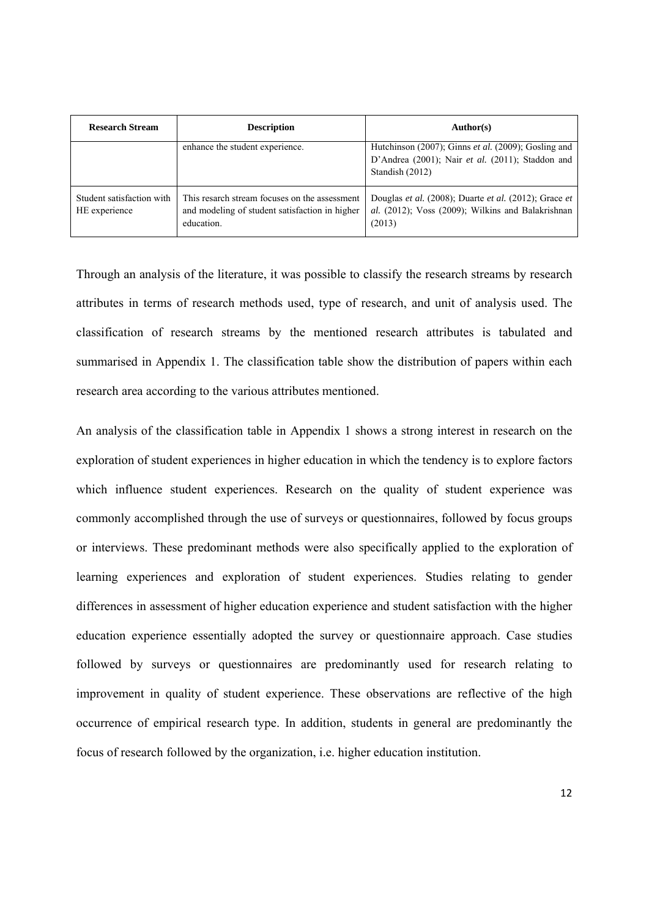| <b>Research Stream</b>                     | <b>Description</b>                                                                                            | Author(s)                                                                                                                  |
|--------------------------------------------|---------------------------------------------------------------------------------------------------------------|----------------------------------------------------------------------------------------------------------------------------|
|                                            | enhance the student experience.                                                                               | Hutchinson (2007); Ginns et al. (2009); Gosling and<br>D'Andrea (2001); Nair et al. (2011); Staddon and<br>Standish (2012) |
| Student satisfaction with<br>HE experience | This resarch stream focuses on the assessment<br>and modeling of student satisfaction in higher<br>education. | Douglas et al. (2008); Duarte et al. (2012); Grace et<br>al. (2012); Voss (2009); Wilkins and Balakrishnan<br>(2013)       |

Through an analysis of the literature, it was possible to classify the research streams by research attributes in terms of research methods used, type of research, and unit of analysis used. The classification of research streams by the mentioned research attributes is tabulated and summarised in Appendix 1. The classification table show the distribution of papers within each research area according to the various attributes mentioned.

An analysis of the classification table in Appendix 1 shows a strong interest in research on the exploration of student experiences in higher education in which the tendency is to explore factors which influence student experiences. Research on the quality of student experience was commonly accomplished through the use of surveys or questionnaires, followed by focus groups or interviews. These predominant methods were also specifically applied to the exploration of learning experiences and exploration of student experiences. Studies relating to gender differences in assessment of higher education experience and student satisfaction with the higher education experience essentially adopted the survey or questionnaire approach. Case studies followed by surveys or questionnaires are predominantly used for research relating to improvement in quality of student experience. These observations are reflective of the high occurrence of empirical research type. In addition, students in general are predominantly the focus of research followed by the organization, i.e. higher education institution.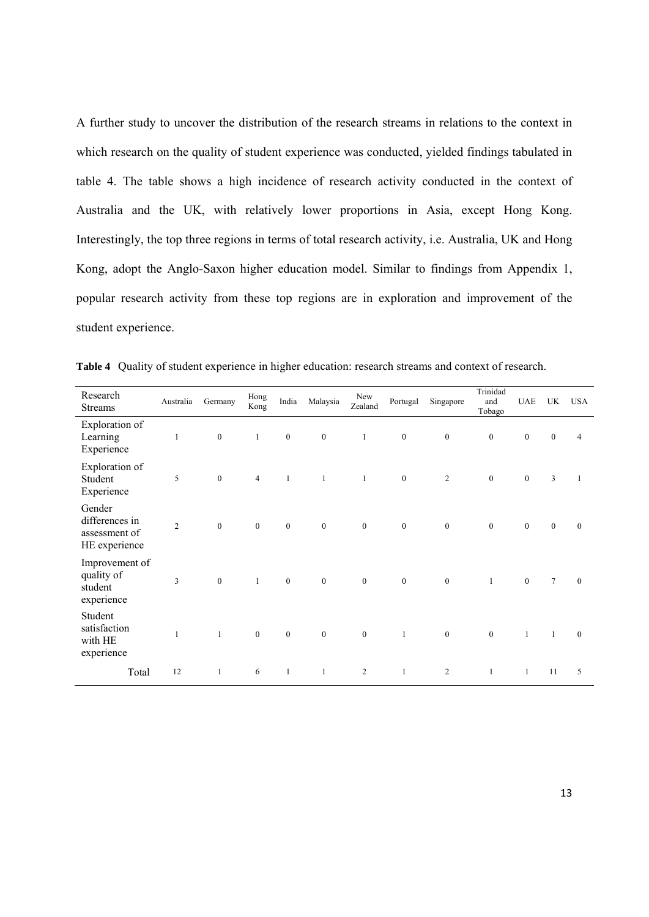A further study to uncover the distribution of the research streams in relations to the context in which research on the quality of student experience was conducted, yielded findings tabulated in table 4. The table shows a high incidence of research activity conducted in the context of Australia and the UK, with relatively lower proportions in Asia, except Hong Kong. Interestingly, the top three regions in terms of total research activity, i.e. Australia, UK and Hong Kong, adopt the Anglo-Saxon higher education model. Similar to findings from Appendix 1, popular research activity from these top regions are in exploration and improvement of the student experience.

| Research<br><b>Streams</b>                                 | Australia      | Germany          | Hong<br>Kong     | India            | Malaysia         | New<br>Zealand   | Portugal         | Singapore        | Trinidad<br>and<br>Tobago | <b>UAE</b>       | UK               | <b>USA</b>       |
|------------------------------------------------------------|----------------|------------------|------------------|------------------|------------------|------------------|------------------|------------------|---------------------------|------------------|------------------|------------------|
| Exploration of<br>Learning<br>Experience                   | $\mathbf{1}$   | $\boldsymbol{0}$ | $\mathbf{1}$     | $\boldsymbol{0}$ | $\boldsymbol{0}$ | $\mathbf{1}$     | $\boldsymbol{0}$ | $\mathbf{0}$     | $\boldsymbol{0}$          | $\boldsymbol{0}$ | $\boldsymbol{0}$ | $\overline{4}$   |
| Exploration of<br>Student<br>Experience                    | 5              | $\mathbf{0}$     | $\overline{4}$   | $\mathbf{1}$     | $\mathbf{1}$     | $\mathbf{1}$     | $\mathbf{0}$     | 2                | $\boldsymbol{0}$          | $\mathbf{0}$     | 3                | 1                |
| Gender<br>differences in<br>assessment of<br>HE experience | $\overline{2}$ | $\boldsymbol{0}$ | $\boldsymbol{0}$ | $\boldsymbol{0}$ | $\mathbf{0}$     | $\boldsymbol{0}$ | $\boldsymbol{0}$ | $\boldsymbol{0}$ | $\boldsymbol{0}$          | $\boldsymbol{0}$ | $\boldsymbol{0}$ | $\boldsymbol{0}$ |
| Improvement of<br>quality of<br>student<br>experience      | $\overline{3}$ | $\mathbf{0}$     | $\mathbf{1}$     | $\boldsymbol{0}$ | $\mathbf{0}$     | $\mathbf{0}$     | $\mathbf{0}$     | $\boldsymbol{0}$ | $\mathbf{1}$              | $\boldsymbol{0}$ | $\tau$           | $\mathbf{0}$     |
| Student<br>satisfaction<br>with HE<br>experience           | $\mathbf{1}$   | $\mathbf{1}$     | $\mathbf{0}$     | $\mathbf{0}$     | $\mathbf{0}$     | $\mathbf{0}$     | $\mathbf{1}$     | $\mathbf{0}$     | $\mathbf{0}$              | $\mathbf{1}$     | $\mathbf{1}$     | $\mathbf{0}$     |
| Total                                                      | 12             | $\mathbf{1}$     | 6                | $\mathbf{1}$     | $\mathbf{1}$     | $\overline{c}$   | $\mathbf{1}$     | 2                | $\mathbf{1}$              | $\mathbf{1}$     | 11               | 5                |

**Table 4** Quality of student experience in higher education: research streams and context of research.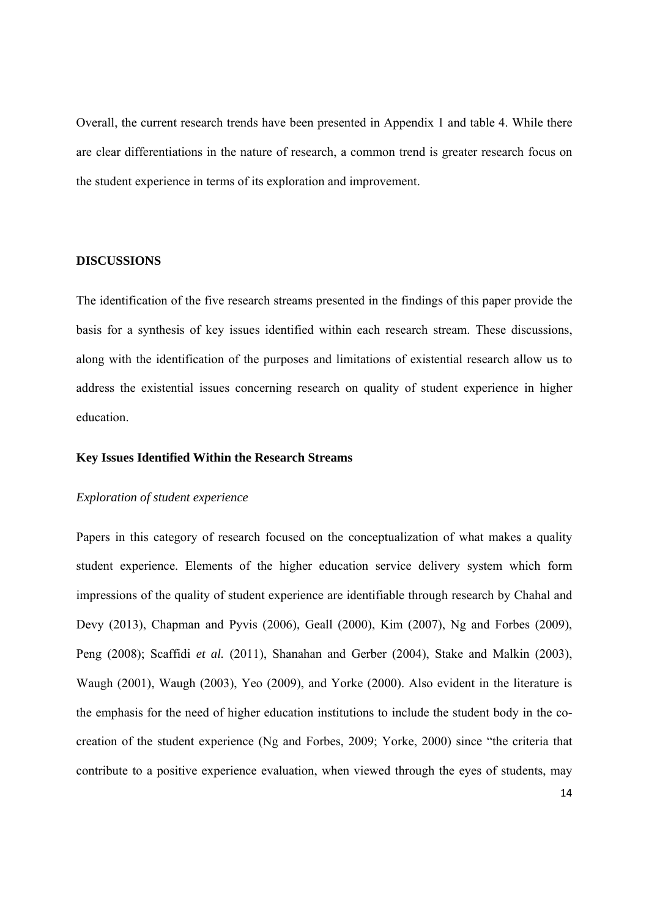Overall, the current research trends have been presented in Appendix 1 and table 4. While there are clear differentiations in the nature of research, a common trend is greater research focus on the student experience in terms of its exploration and improvement.

#### **DISCUSSIONS**

The identification of the five research streams presented in the findings of this paper provide the basis for a synthesis of key issues identified within each research stream. These discussions, along with the identification of the purposes and limitations of existential research allow us to address the existential issues concerning research on quality of student experience in higher education.

#### **Key Issues Identified Within the Research Streams**

#### *Exploration of student experience*

Papers in this category of research focused on the conceptualization of what makes a quality student experience. Elements of the higher education service delivery system which form impressions of the quality of student experience are identifiable through research by Chahal and Devy (2013), Chapman and Pyvis (2006), Geall (2000), Kim (2007), Ng and Forbes (2009), Peng (2008); Scaffidi *et al.* (2011), Shanahan and Gerber (2004), Stake and Malkin (2003), Waugh (2001), Waugh (2003), Yeo (2009), and Yorke (2000). Also evident in the literature is the emphasis for the need of higher education institutions to include the student body in the cocreation of the student experience (Ng and Forbes, 2009; Yorke, 2000) since "the criteria that contribute to a positive experience evaluation, when viewed through the eyes of students, may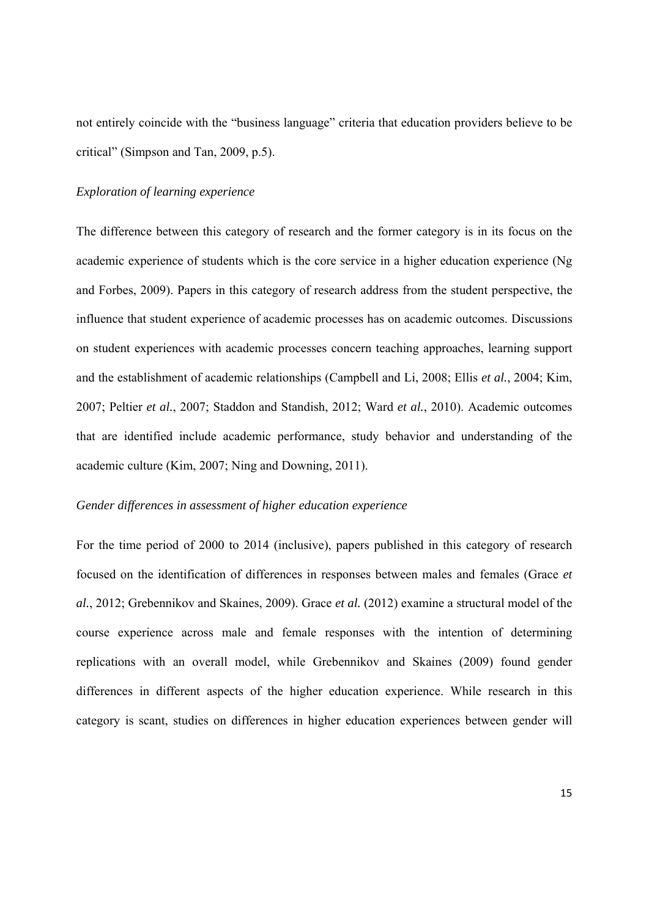not entirely coincide with the "business language" criteria that education providers believe to be critical" (Simpson and Tan, 2009, p.5).

#### *Exploration of learning experience*

The difference between this category of research and the former category is in its focus on the academic experience of students which is the core service in a higher education experience (Ng and Forbes, 2009). Papers in this category of research address from the student perspective, the influence that student experience of academic processes has on academic outcomes. Discussions on student experiences with academic processes concern teaching approaches, learning support and the establishment of academic relationships (Campbell and Li, 2008; Ellis *et al.*, 2004; Kim, 2007; Peltier *et al.*, 2007; Staddon and Standish, 2012; Ward *et al.*, 2010). Academic outcomes that are identified include academic performance, study behavior and understanding of the academic culture (Kim, 2007; Ning and Downing, 2011).

#### *Gender differences in assessment of higher education experience*

For the time period of 2000 to 2014 (inclusive), papers published in this category of research focused on the identification of differences in responses between males and females (Grace *et al.*, 2012; Grebennikov and Skaines, 2009). Grace *et al.* (2012) examine a structural model of the course experience across male and female responses with the intention of determining replications with an overall model, while Grebennikov and Skaines (2009) found gender differences in different aspects of the higher education experience. While research in this category is scant, studies on differences in higher education experiences between gender will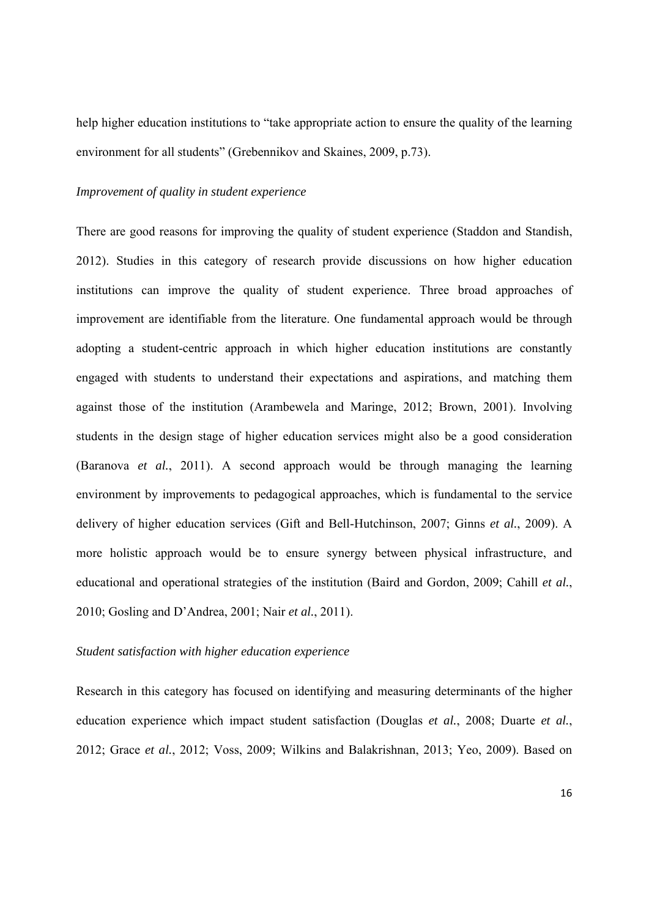help higher education institutions to "take appropriate action to ensure the quality of the learning environment for all students" (Grebennikov and Skaines, 2009, p.73).

#### *Improvement of quality in student experience*

There are good reasons for improving the quality of student experience (Staddon and Standish, 2012). Studies in this category of research provide discussions on how higher education institutions can improve the quality of student experience. Three broad approaches of improvement are identifiable from the literature. One fundamental approach would be through adopting a student-centric approach in which higher education institutions are constantly engaged with students to understand their expectations and aspirations, and matching them against those of the institution (Arambewela and Maringe, 2012; Brown, 2001). Involving students in the design stage of higher education services might also be a good consideration (Baranova *et al.*, 2011). A second approach would be through managing the learning environment by improvements to pedagogical approaches, which is fundamental to the service delivery of higher education services (Gift and Bell-Hutchinson, 2007; Ginns *et al.*, 2009). A more holistic approach would be to ensure synergy between physical infrastructure, and educational and operational strategies of the institution (Baird and Gordon, 2009; Cahill *et al.*, 2010; Gosling and D'Andrea, 2001; Nair *et al.*, 2011).

#### *Student satisfaction with higher education experience*

Research in this category has focused on identifying and measuring determinants of the higher education experience which impact student satisfaction (Douglas *et al.*, 2008; Duarte *et al.*, 2012; Grace *et al.*, 2012; Voss, 2009; Wilkins and Balakrishnan, 2013; Yeo, 2009). Based on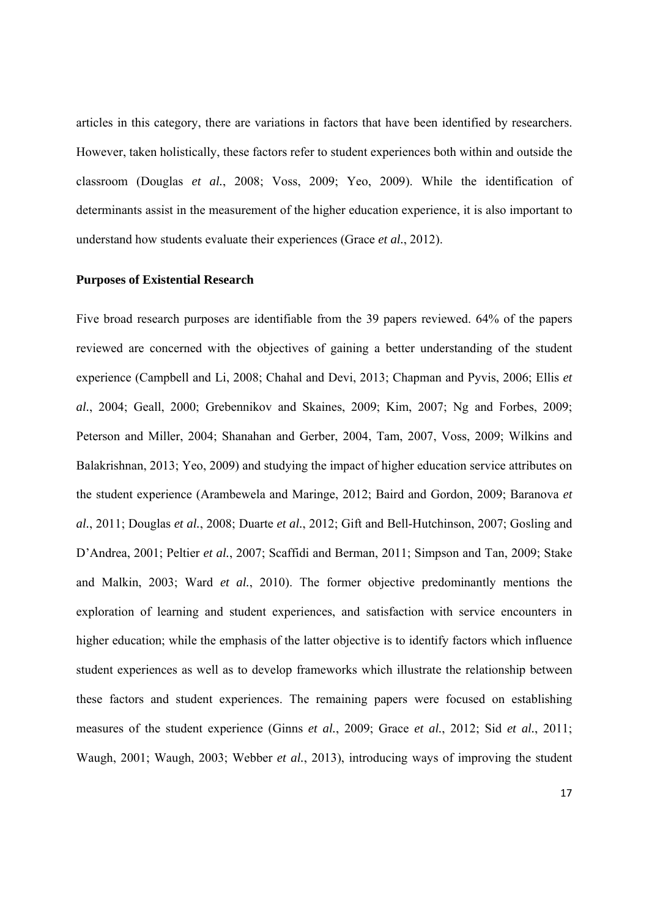articles in this category, there are variations in factors that have been identified by researchers. However, taken holistically, these factors refer to student experiences both within and outside the classroom (Douglas *et al.*, 2008; Voss, 2009; Yeo, 2009). While the identification of determinants assist in the measurement of the higher education experience, it is also important to understand how students evaluate their experiences (Grace *et al.*, 2012).

#### **Purposes of Existential Research**

Five broad research purposes are identifiable from the 39 papers reviewed. 64% of the papers reviewed are concerned with the objectives of gaining a better understanding of the student experience (Campbell and Li, 2008; Chahal and Devi, 2013; Chapman and Pyvis, 2006; Ellis *et al.*, 2004; Geall, 2000; Grebennikov and Skaines, 2009; Kim, 2007; Ng and Forbes, 2009; Peterson and Miller, 2004; Shanahan and Gerber, 2004, Tam, 2007, Voss, 2009; Wilkins and Balakrishnan, 2013; Yeo, 2009) and studying the impact of higher education service attributes on the student experience (Arambewela and Maringe, 2012; Baird and Gordon, 2009; Baranova *et al.*, 2011; Douglas *et al.*, 2008; Duarte *et al.*, 2012; Gift and Bell-Hutchinson, 2007; Gosling and D'Andrea, 2001; Peltier *et al.*, 2007; Scaffidi and Berman, 2011; Simpson and Tan, 2009; Stake and Malkin, 2003; Ward *et al.*, 2010). The former objective predominantly mentions the exploration of learning and student experiences, and satisfaction with service encounters in higher education; while the emphasis of the latter objective is to identify factors which influence student experiences as well as to develop frameworks which illustrate the relationship between these factors and student experiences. The remaining papers were focused on establishing measures of the student experience (Ginns *et al.*, 2009; Grace *et al.*, 2012; Sid *et al.*, 2011; Waugh, 2001; Waugh, 2003; Webber *et al.*, 2013), introducing ways of improving the student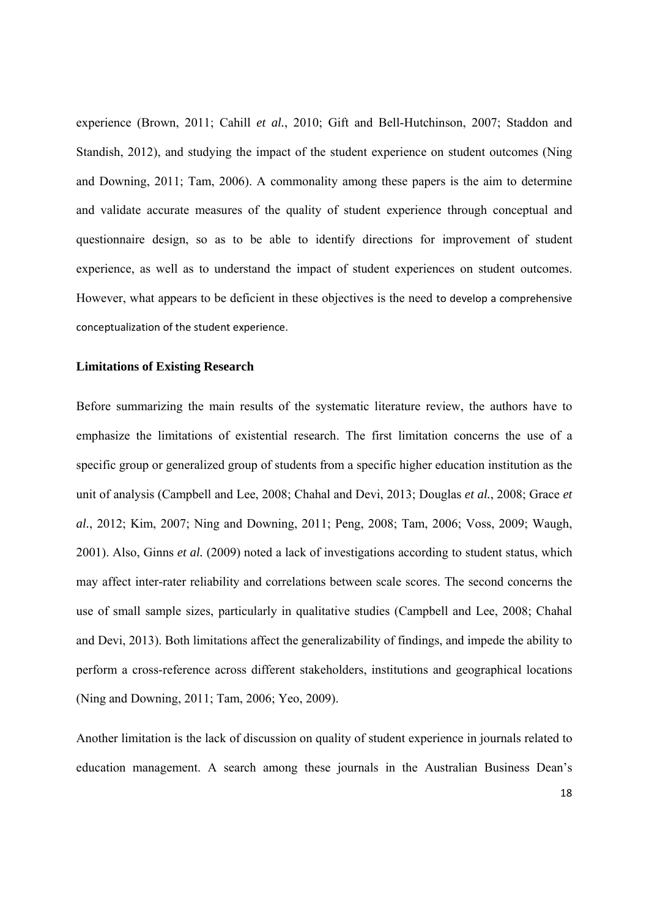experience (Brown, 2011; Cahill *et al.*, 2010; Gift and Bell-Hutchinson, 2007; Staddon and Standish, 2012), and studying the impact of the student experience on student outcomes (Ning and Downing, 2011; Tam, 2006). A commonality among these papers is the aim to determine and validate accurate measures of the quality of student experience through conceptual and questionnaire design, so as to be able to identify directions for improvement of student experience, as well as to understand the impact of student experiences on student outcomes. However, what appears to be deficient in these objectives is the need to develop a comprehensive conceptualization of the student experience.

#### **Limitations of Existing Research**

Before summarizing the main results of the systematic literature review, the authors have to emphasize the limitations of existential research. The first limitation concerns the use of a specific group or generalized group of students from a specific higher education institution as the unit of analysis (Campbell and Lee, 2008; Chahal and Devi, 2013; Douglas *et al.*, 2008; Grace *et al.*, 2012; Kim, 2007; Ning and Downing, 2011; Peng, 2008; Tam, 2006; Voss, 2009; Waugh, 2001). Also, Ginns *et al.* (2009) noted a lack of investigations according to student status, which may affect inter-rater reliability and correlations between scale scores. The second concerns the use of small sample sizes, particularly in qualitative studies (Campbell and Lee, 2008; Chahal and Devi, 2013). Both limitations affect the generalizability of findings, and impede the ability to perform a cross-reference across different stakeholders, institutions and geographical locations (Ning and Downing, 2011; Tam, 2006; Yeo, 2009).

Another limitation is the lack of discussion on quality of student experience in journals related to education management. A search among these journals in the Australian Business Dean's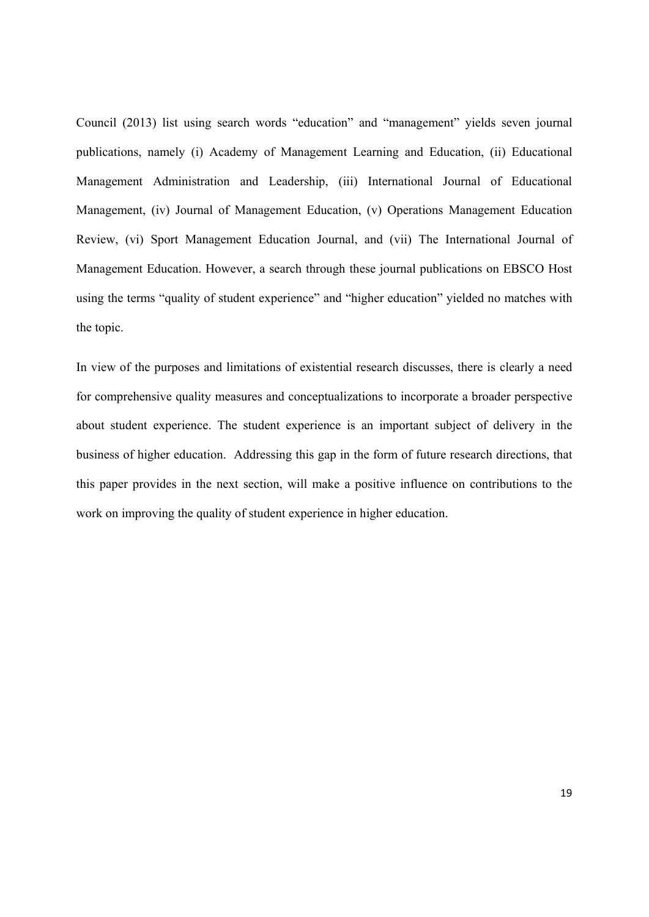Council (2013) list using search words "education" and "management" yields seven journal publications, namely (i) Academy of Management Learning and Education, (ii) Educational Management Administration and Leadership, (iii) International Journal of Educational Management, (iv) Journal of Management Education, (v) Operations Management Education Review, (vi) Sport Management Education Journal, and (vii) The International Journal of Management Education. However, a search through these journal publications on EBSCO Host using the terms "quality of student experience" and "higher education" yielded no matches with the topic.

In view of the purposes and limitations of existential research discusses, there is clearly a need for comprehensive quality measures and conceptualizations to incorporate a broader perspective about student experience. The student experience is an important subject of delivery in the business of higher education. Addressing this gap in the form of future research directions, that this paper provides in the next section, will make a positive influence on contributions to the work on improving the quality of student experience in higher education.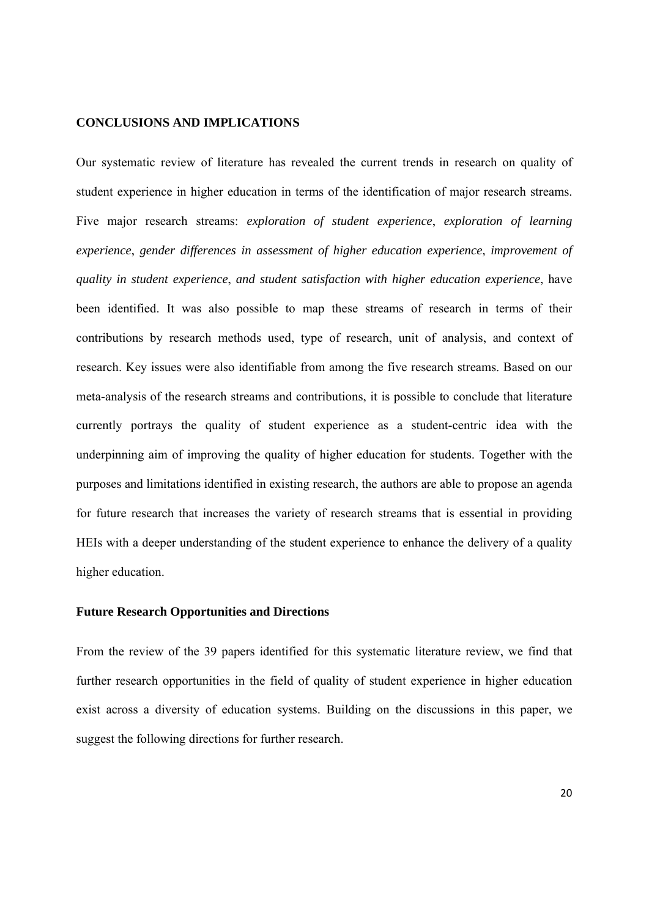#### **CONCLUSIONS AND IMPLICATIONS**

Our systematic review of literature has revealed the current trends in research on quality of student experience in higher education in terms of the identification of major research streams. Five major research streams: *exploration of student experience*, *exploration of learning experience*, *gender differences in assessment of higher education experience*, *improvement of quality in student experience*, *and student satisfaction with higher education experience*, have been identified. It was also possible to map these streams of research in terms of their contributions by research methods used, type of research, unit of analysis, and context of research. Key issues were also identifiable from among the five research streams. Based on our meta-analysis of the research streams and contributions, it is possible to conclude that literature currently portrays the quality of student experience as a student-centric idea with the underpinning aim of improving the quality of higher education for students. Together with the purposes and limitations identified in existing research, the authors are able to propose an agenda for future research that increases the variety of research streams that is essential in providing HEIs with a deeper understanding of the student experience to enhance the delivery of a quality higher education.

#### **Future Research Opportunities and Directions**

From the review of the 39 papers identified for this systematic literature review, we find that further research opportunities in the field of quality of student experience in higher education exist across a diversity of education systems. Building on the discussions in this paper, we suggest the following directions for further research.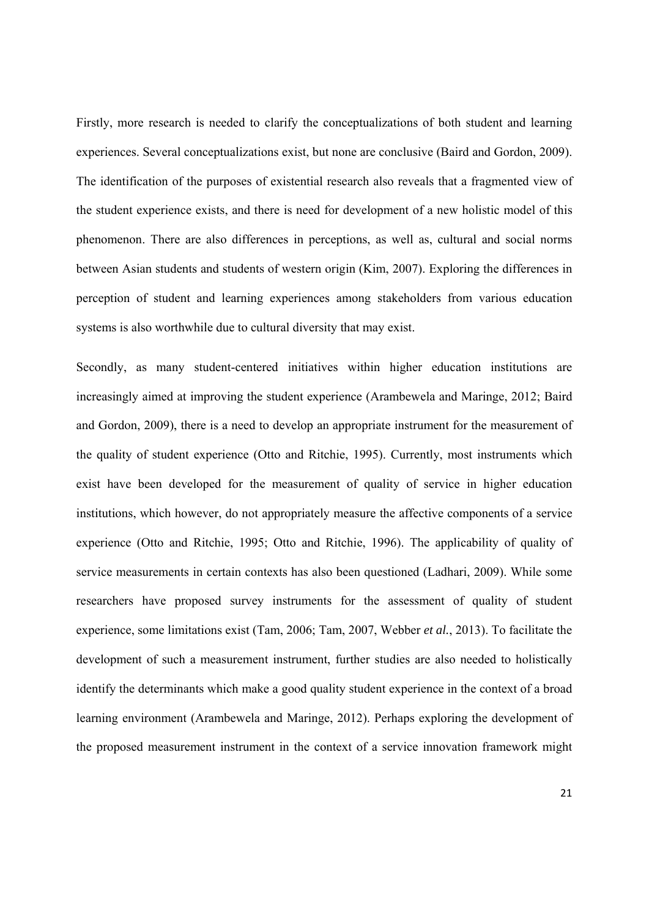Firstly, more research is needed to clarify the conceptualizations of both student and learning experiences. Several conceptualizations exist, but none are conclusive (Baird and Gordon, 2009). The identification of the purposes of existential research also reveals that a fragmented view of the student experience exists, and there is need for development of a new holistic model of this phenomenon. There are also differences in perceptions, as well as, cultural and social norms between Asian students and students of western origin (Kim, 2007). Exploring the differences in perception of student and learning experiences among stakeholders from various education systems is also worthwhile due to cultural diversity that may exist.

Secondly, as many student-centered initiatives within higher education institutions are increasingly aimed at improving the student experience (Arambewela and Maringe, 2012; Baird and Gordon, 2009), there is a need to develop an appropriate instrument for the measurement of the quality of student experience (Otto and Ritchie, 1995). Currently, most instruments which exist have been developed for the measurement of quality of service in higher education institutions, which however, do not appropriately measure the affective components of a service experience (Otto and Ritchie, 1995; Otto and Ritchie, 1996). The applicability of quality of service measurements in certain contexts has also been questioned (Ladhari, 2009). While some researchers have proposed survey instruments for the assessment of quality of student experience, some limitations exist (Tam, 2006; Tam, 2007, Webber *et al.*, 2013). To facilitate the development of such a measurement instrument, further studies are also needed to holistically identify the determinants which make a good quality student experience in the context of a broad learning environment (Arambewela and Maringe, 2012). Perhaps exploring the development of the proposed measurement instrument in the context of a service innovation framework might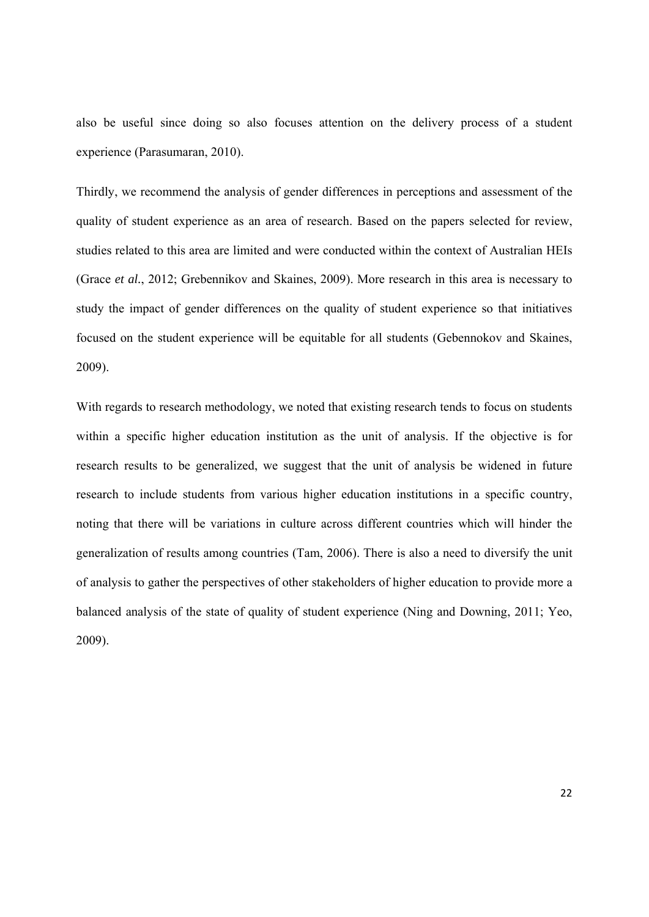also be useful since doing so also focuses attention on the delivery process of a student experience (Parasumaran, 2010).

Thirdly, we recommend the analysis of gender differences in perceptions and assessment of the quality of student experience as an area of research. Based on the papers selected for review, studies related to this area are limited and were conducted within the context of Australian HEIs (Grace *et al.*, 2012; Grebennikov and Skaines, 2009). More research in this area is necessary to study the impact of gender differences on the quality of student experience so that initiatives focused on the student experience will be equitable for all students (Gebennokov and Skaines, 2009).

With regards to research methodology, we noted that existing research tends to focus on students within a specific higher education institution as the unit of analysis. If the objective is for research results to be generalized, we suggest that the unit of analysis be widened in future research to include students from various higher education institutions in a specific country, noting that there will be variations in culture across different countries which will hinder the generalization of results among countries (Tam, 2006). There is also a need to diversify the unit of analysis to gather the perspectives of other stakeholders of higher education to provide more a balanced analysis of the state of quality of student experience (Ning and Downing, 2011; Yeo, 2009).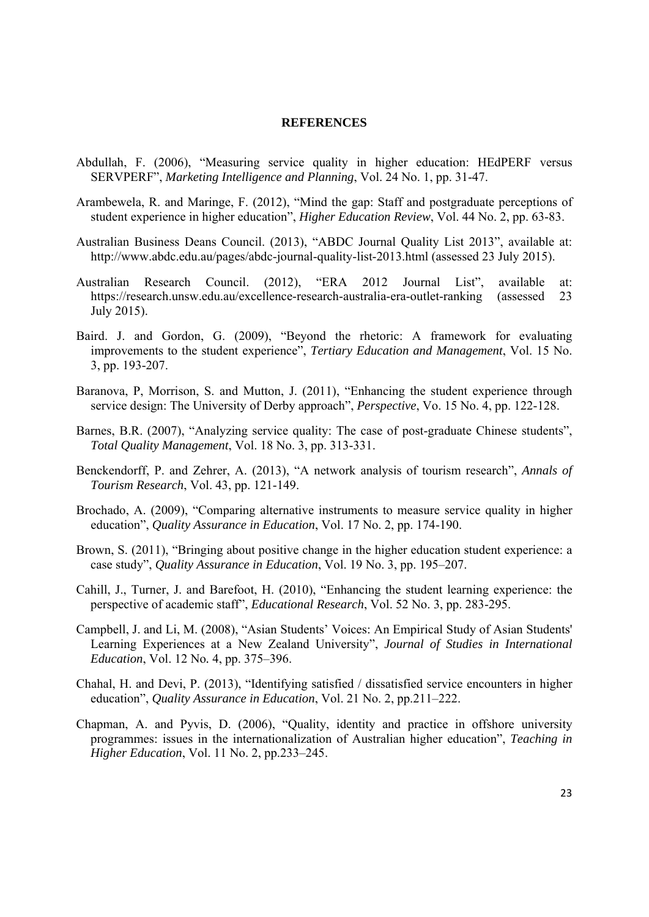#### **REFERENCES**

- Abdullah, F. (2006), "Measuring service quality in higher education: HEdPERF versus SERVPERF", *Marketing Intelligence and Planning*, Vol. 24 No. 1, pp. 31-47.
- Arambewela, R. and Maringe, F. (2012), "Mind the gap: Staff and postgraduate perceptions of student experience in higher education", *Higher Education Review*, Vol. 44 No. 2, pp. 63-83.
- Australian Business Deans Council. (2013), "ABDC Journal Quality List 2013", available at: http://www.abdc.edu.au/pages/abdc-journal-quality-list-2013.html (assessed 23 July 2015).
- Australian Research Council. (2012), "ERA 2012 Journal List", available at: https://research.unsw.edu.au/excellence-research-australia-era-outlet-ranking (assessed 23 July 2015).
- Baird. J. and Gordon, G. (2009), "Beyond the rhetoric: A framework for evaluating improvements to the student experience", *Tertiary Education and Management*, Vol. 15 No. 3, pp. 193-207.
- Baranova, P, Morrison, S. and Mutton, J. (2011), "Enhancing the student experience through service design: The University of Derby approach", *Perspective*, Vo. 15 No. 4, pp. 122-128.
- Barnes, B.R. (2007), "Analyzing service quality: The case of post-graduate Chinese students", *Total Quality Management*, Vol. 18 No. 3, pp. 313-331.
- Benckendorff, P. and Zehrer, A. (2013), "A network analysis of tourism research", *Annals of Tourism Research*, Vol. 43, pp. 121-149.
- Brochado, A. (2009), "Comparing alternative instruments to measure service quality in higher education", *Quality Assurance in Education*, Vol. 17 No. 2, pp. 174-190.
- Brown, S. (2011), "Bringing about positive change in the higher education student experience: a case study", *Quality Assurance in Education*, Vol. 19 No. 3, pp. 195–207.
- Cahill, J., Turner, J. and Barefoot, H. (2010), "Enhancing the student learning experience: the perspective of academic staff", *Educational Research*, Vol. 52 No. 3, pp. 283-295.
- Campbell, J. and Li, M. (2008), "Asian Students' Voices: An Empirical Study of Asian Students' Learning Experiences at a New Zealand University", *Journal of Studies in International Education*, Vol. 12 No*.* 4, pp. 375–396.
- Chahal, H. and Devi, P. (2013), "Identifying satisfied / dissatisfied service encounters in higher education", *Quality Assurance in Education*, Vol. 21 No. 2, pp.211–222.
- Chapman, A. and Pyvis, D. (2006), "Quality, identity and practice in offshore university programmes: issues in the internationalization of Australian higher education", *Teaching in Higher Education*, Vol. 11 No. 2, pp.233–245.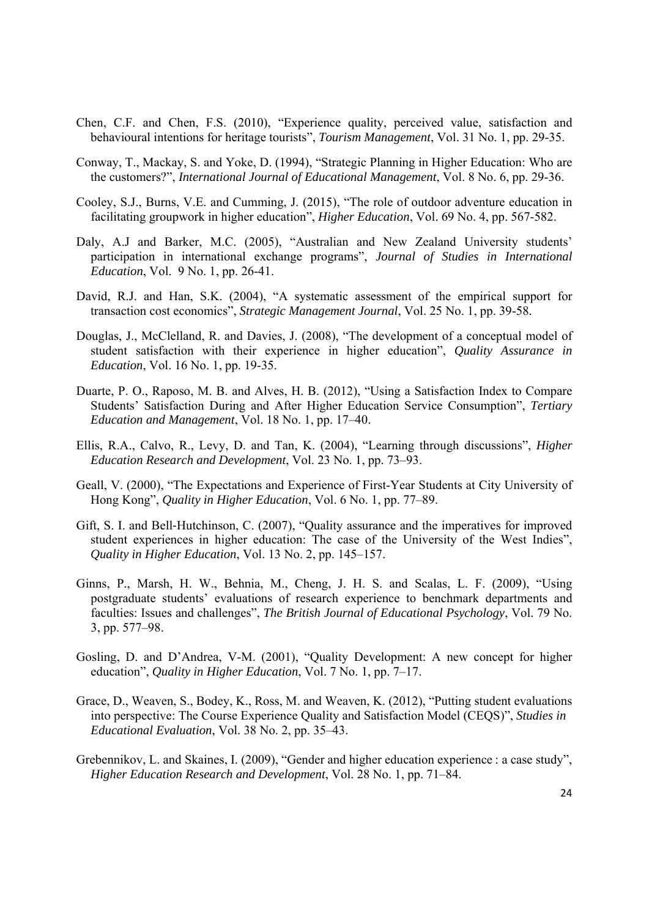- Chen, C.F. and Chen, F.S. (2010), "Experience quality, perceived value, satisfaction and behavioural intentions for heritage tourists", *Tourism Management*, Vol. 31 No. 1, pp. 29-35.
- Conway, T., Mackay, S. and Yoke, D. (1994), "Strategic Planning in Higher Education: Who are the customers?", *International Journal of Educational Management*, Vol. 8 No. 6, pp. 29-36.
- Cooley, S.J., Burns, V.E. and Cumming, J. (2015), "The role of outdoor adventure education in facilitating groupwork in higher education", *Higher Education*, Vol. 69 No. 4, pp. 567-582.
- Daly, A.J and Barker, M.C. (2005), "Australian and New Zealand University students' participation in international exchange programs", *Journal of Studies in International Education*, Vol. 9 No. 1, pp. 26-41.
- David, R.J. and Han, S.K. (2004), "A systematic assessment of the empirical support for transaction cost economics", *Strategic Management Journal*, Vol. 25 No. 1, pp. 39-58.
- Douglas, J., McClelland, R. and Davies, J. (2008), "The development of a conceptual model of student satisfaction with their experience in higher education", *Quality Assurance in Education*, Vol. 16 No. 1, pp. 19-35.
- Duarte, P. O., Raposo, M. B. and Alves, H. B. (2012), "Using a Satisfaction Index to Compare Students' Satisfaction During and After Higher Education Service Consumption", *Tertiary Education and Management*, Vol. 18 No. 1, pp. 17–40.
- Ellis, R.A., Calvo, R., Levy, D. and Tan, K. (2004), "Learning through discussions", *Higher Education Research and Development*, Vol. 23 No. 1, pp. 73–93.
- Geall, V. (2000), "The Expectations and Experience of First-Year Students at City University of Hong Kong", *Quality in Higher Education*, Vol. 6 No. 1, pp. 77–89.
- Gift, S. I. and Bell-Hutchinson, C. (2007), "Quality assurance and the imperatives for improved student experiences in higher education: The case of the University of the West Indies", *Quality in Higher Education*, Vol. 13 No. 2, pp. 145–157.
- Ginns, P., Marsh, H. W., Behnia, M., Cheng, J. H. S. and Scalas, L. F. (2009), "Using postgraduate students' evaluations of research experience to benchmark departments and faculties: Issues and challenges", *The British Journal of Educational Psychology*, Vol. 79 No. 3, pp. 577–98.
- Gosling, D. and D'Andrea, V-M. (2001), "Quality Development: A new concept for higher education", *Quality in Higher Education*, Vol. 7 No. 1, pp. 7–17.
- Grace, D., Weaven, S., Bodey, K., Ross, M. and Weaven, K. (2012), "Putting student evaluations into perspective: The Course Experience Quality and Satisfaction Model (CEQS)", *Studies in Educational Evaluation*, Vol. 38 No. 2, pp. 35–43.
- Grebennikov, L. and Skaines, I. (2009), "Gender and higher education experience : a case study", *Higher Education Research and Development*, Vol. 28 No. 1, pp. 71–84.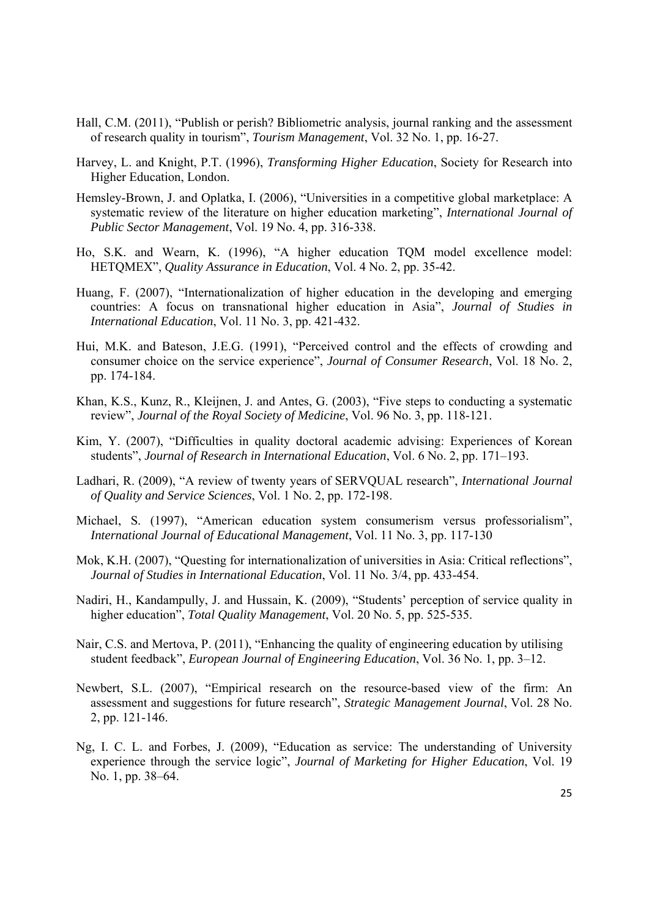- Hall, C.M. (2011), "Publish or perish? Bibliometric analysis, journal ranking and the assessment of research quality in tourism", *Tourism Management*, Vol. 32 No. 1, pp. 16-27.
- Harvey, L. and Knight, P.T. (1996), *Transforming Higher Education*, Society for Research into Higher Education, London.
- Hemsley-Brown, J. and Oplatka, I. (2006), "Universities in a competitive global marketplace: A systematic review of the literature on higher education marketing", *International Journal of Public Sector Management*, Vol. 19 No. 4, pp. 316-338.
- Ho, S.K. and Wearn, K. (1996), "A higher education TQM model excellence model: HETQMEX", *Quality Assurance in Education*, Vol. 4 No. 2, pp. 35-42.
- Huang, F. (2007), "Internationalization of higher education in the developing and emerging countries: A focus on transnational higher education in Asia", *Journal of Studies in International Education*, Vol. 11 No. 3, pp. 421-432.
- Hui, M.K. and Bateson, J.E.G. (1991), "Perceived control and the effects of crowding and consumer choice on the service experience", *Journal of Consumer Research*, Vol. 18 No. 2, pp. 174-184.
- Khan, K.S., Kunz, R., Kleijnen, J. and Antes, G. (2003), "Five steps to conducting a systematic review", *Journal of the Royal Society of Medicine*, Vol. 96 No. 3, pp. 118-121.
- Kim, Y. (2007), "Difficulties in quality doctoral academic advising: Experiences of Korean students", *Journal of Research in International Education*, Vol. 6 No. 2, pp. 171–193.
- Ladhari, R. (2009), "A review of twenty years of SERVQUAL research", *International Journal of Quality and Service Sciences*, Vol. 1 No. 2, pp. 172-198.
- Michael, S. (1997), "American education system consumerism versus professorialism", *International Journal of Educational Management*, Vol. 11 No. 3, pp. 117-130
- Mok, K.H. (2007), "Questing for internationalization of universities in Asia: Critical reflections", *Journal of Studies in International Education*, Vol. 11 No. 3/4, pp. 433-454.
- Nadiri, H., Kandampully, J. and Hussain, K. (2009), "Students' perception of service quality in higher education", *Total Quality Management*, Vol. 20 No. 5, pp. 525-535.
- Nair, C.S. and Mertova, P. (2011), "Enhancing the quality of engineering education by utilising student feedback", *European Journal of Engineering Education*, Vol. 36 No. 1, pp. 3–12.
- Newbert, S.L. (2007), "Empirical research on the resource-based view of the firm: An assessment and suggestions for future research", *Strategic Management Journal*, Vol. 28 No. 2, pp. 121-146.
- Ng, I. C. L. and Forbes, J. (2009), "Education as service: The understanding of University experience through the service logic", *Journal of Marketing for Higher Education*, Vol. 19 No. 1, pp. 38–64.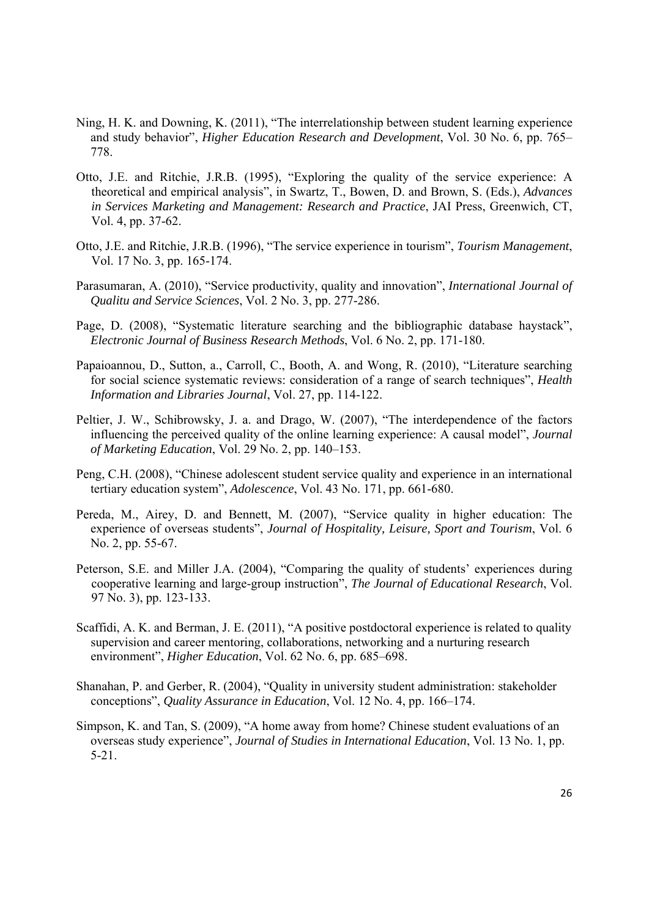- Ning, H. K. and Downing, K. (2011), "The interrelationship between student learning experience and study behavior", *Higher Education Research and Development*, Vol. 30 No. 6, pp. 765– 778.
- Otto, J.E. and Ritchie, J.R.B. (1995), "Exploring the quality of the service experience: A theoretical and empirical analysis", in Swartz, T., Bowen, D. and Brown, S. (Eds.), *Advances in Services Marketing and Management: Research and Practice*, JAI Press, Greenwich, CT, Vol. 4, pp. 37-62.
- Otto, J.E. and Ritchie, J.R.B. (1996), "The service experience in tourism", *Tourism Management*, Vol. 17 No. 3, pp. 165-174.
- Parasumaran, A. (2010), "Service productivity, quality and innovation", *International Journal of Qualitu and Service Sciences*, Vol. 2 No. 3, pp. 277-286.
- Page, D. (2008), "Systematic literature searching and the bibliographic database haystack", *Electronic Journal of Business Research Methods*, Vol. 6 No. 2, pp. 171-180.
- Papaioannou, D., Sutton, a., Carroll, C., Booth, A. and Wong, R. (2010), "Literature searching for social science systematic reviews: consideration of a range of search techniques", *Health Information and Libraries Journal*, Vol. 27, pp. 114-122.
- Peltier, J. W., Schibrowsky, J. a. and Drago, W. (2007), "The interdependence of the factors influencing the perceived quality of the online learning experience: A causal model", *Journal of Marketing Education*, Vol. 29 No. 2, pp. 140–153.
- Peng, C.H. (2008), "Chinese adolescent student service quality and experience in an international tertiary education system", *Adolescence*, Vol. 43 No. 171, pp. 661-680.
- Pereda, M., Airey, D. and Bennett, M. (2007), "Service quality in higher education: The experience of overseas students", *Journal of Hospitality, Leisure, Sport and Tourism*, Vol. 6 No. 2, pp. 55-67.
- Peterson, S.E. and Miller J.A. (2004), "Comparing the quality of students' experiences during cooperative learning and large-group instruction", *The Journal of Educational Research*, Vol. 97 No. 3), pp. 123-133.
- Scaffidi, A. K. and Berman, J. E. (2011), "A positive postdoctoral experience is related to quality supervision and career mentoring, collaborations, networking and a nurturing research environment", *Higher Education*, Vol. 62 No. 6, pp. 685–698.
- Shanahan, P. and Gerber, R. (2004), "Quality in university student administration: stakeholder conceptions", *Quality Assurance in Education*, Vol. 12 No. 4, pp. 166–174.
- Simpson, K. and Tan, S. (2009), "A home away from home? Chinese student evaluations of an overseas study experience", *Journal of Studies in International Education*, Vol. 13 No. 1, pp. 5-21.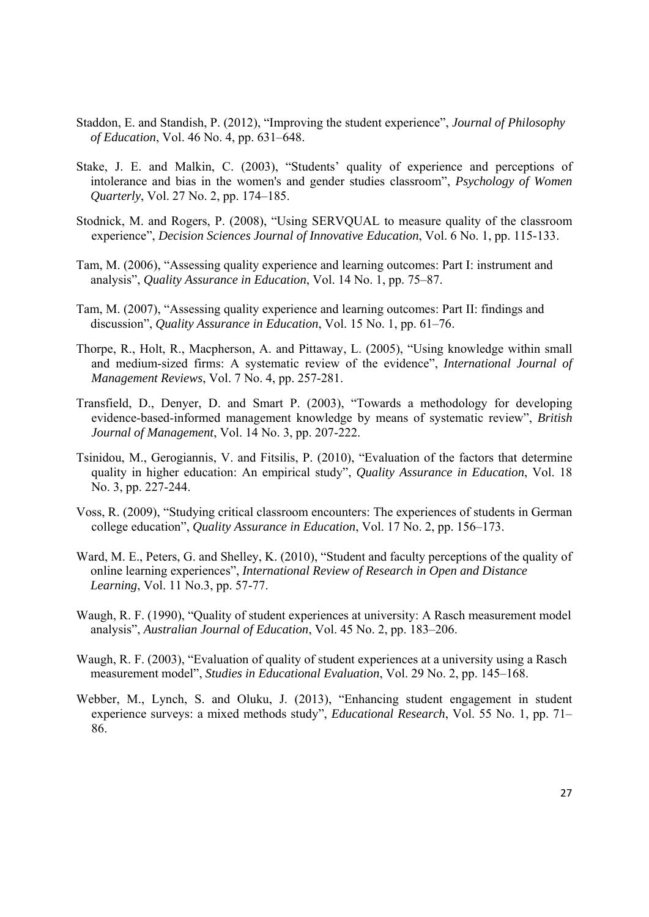- Staddon, E. and Standish, P. (2012), "Improving the student experience", *Journal of Philosophy of Education*, Vol. 46 No. 4, pp. 631–648.
- Stake, J. E. and Malkin, C. (2003), "Students' quality of experience and perceptions of intolerance and bias in the women's and gender studies classroom", *Psychology of Women Quarterly*, Vol. 27 No. 2, pp. 174–185.
- Stodnick, M. and Rogers, P. (2008), "Using SERVQUAL to measure quality of the classroom experience", *Decision Sciences Journal of Innovative Education*, Vol. 6 No. 1, pp. 115-133.
- Tam, M. (2006), "Assessing quality experience and learning outcomes: Part I: instrument and analysis", *Quality Assurance in Education*, Vol. 14 No. 1, pp. 75–87.
- Tam, M. (2007), "Assessing quality experience and learning outcomes: Part II: findings and discussion", *Quality Assurance in Education*, Vol. 15 No. 1, pp. 61–76.
- Thorpe, R., Holt, R., Macpherson, A. and Pittaway, L. (2005), "Using knowledge within small and medium-sized firms: A systematic review of the evidence", *International Journal of Management Reviews*, Vol. 7 No. 4, pp. 257-281.
- Transfield, D., Denyer, D. and Smart P. (2003), "Towards a methodology for developing evidence-based-informed management knowledge by means of systematic review", *British Journal of Management*, Vol. 14 No. 3, pp. 207-222.
- Tsinidou, M., Gerogiannis, V. and Fitsilis, P. (2010), "Evaluation of the factors that determine quality in higher education: An empirical study", *Quality Assurance in Education*, Vol. 18 No. 3, pp. 227-244.
- Voss, R. (2009), "Studying critical classroom encounters: The experiences of students in German college education", *Quality Assurance in Education*, Vol. 17 No. 2, pp. 156–173.
- Ward, M. E., Peters, G. and Shelley, K. (2010), "Student and faculty perceptions of the quality of online learning experiences", *International Review of Research in Open and Distance Learning*, Vol. 11 No.3, pp. 57-77.
- Waugh, R. F. (1990), "Quality of student experiences at university: A Rasch measurement model analysis", *Australian Journal of Education*, Vol. 45 No. 2, pp. 183–206.
- Waugh, R. F. (2003), "Evaluation of quality of student experiences at a university using a Rasch measurement model", *Studies in Educational Evaluation*, Vol. 29 No. 2, pp. 145–168.
- Webber, M., Lynch, S. and Oluku, J. (2013), "Enhancing student engagement in student experience surveys: a mixed methods study", *Educational Research*, Vol. 55 No. 1, pp. 71– 86.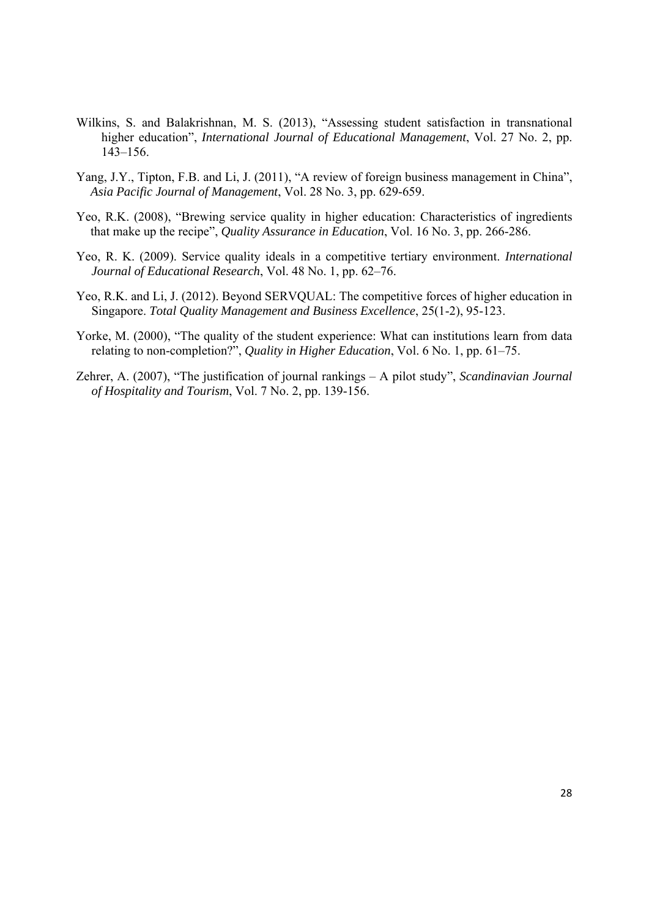- Wilkins, S. and Balakrishnan, M. S. (2013), "Assessing student satisfaction in transnational higher education", *International Journal of Educational Management*, Vol. 27 No. 2, pp. 143–156.
- Yang, J.Y., Tipton, F.B. and Li, J. (2011), "A review of foreign business management in China", *Asia Pacific Journal of Management*, Vol. 28 No. 3, pp. 629-659.
- Yeo, R.K. (2008), "Brewing service quality in higher education: Characteristics of ingredients that make up the recipe", *Quality Assurance in Education*, Vol. 16 No. 3, pp. 266-286.
- Yeo, R. K. (2009). Service quality ideals in a competitive tertiary environment. *International Journal of Educational Research*, Vol. 48 No. 1, pp. 62–76.
- Yeo, R.K. and Li, J. (2012). Beyond SERVQUAL: The competitive forces of higher education in Singapore. *Total Quality Management and Business Excellence*, 25(1-2), 95-123.
- Yorke, M. (2000), "The quality of the student experience: What can institutions learn from data relating to non-completion?", *Quality in Higher Education*, Vol. 6 No. 1, pp. 61–75.
- Zehrer, A. (2007), "The justification of journal rankings A pilot study", *Scandinavian Journal of Hospitality and Tourism*, Vol. 7 No. 2, pp. 139-156.